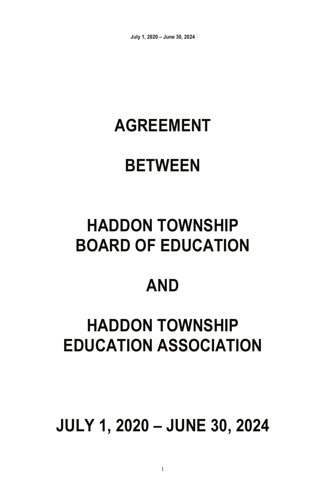# **AGREEMENT**

# **BETWEEN**

# **HADDON TOWNSHIP BOARD OF EDUCATION**

# **AND**

# **HADDON TOWNSHIP EDUCATION ASSOCIATION**

# **JULY 1, 2020 – JUNE 30, 2024**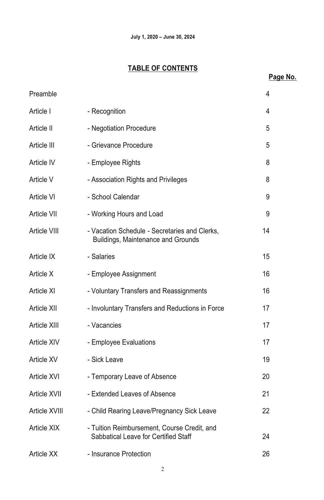# **TABLE OF CONTENTS**

| Preamble           |                                                                                     | 4  |
|--------------------|-------------------------------------------------------------------------------------|----|
| Article I          | - Recognition                                                                       | 4  |
| Article II         | - Negotiation Procedure                                                             | 5  |
| Article III        | - Grievance Procedure                                                               | 5  |
| Article IV         | - Employee Rights                                                                   | 8  |
| Article V          | - Association Rights and Privileges                                                 | 8  |
| Article VI         | - School Calendar                                                                   | 9  |
| Article VII        | - Working Hours and Load                                                            | 9  |
| Article VIII       | - Vacation Schedule - Secretaries and Clerks,<br>Buildings, Maintenance and Grounds | 14 |
| Article IX         | - Salaries                                                                          | 15 |
| Article X          | - Employee Assignment                                                               | 16 |
| Article XI         | - Voluntary Transfers and Reassignments                                             | 16 |
| Article XII        | - Involuntary Transfers and Reductions in Force                                     | 17 |
| Article XIII       | - Vacancies                                                                         | 17 |
| Article XIV        | - Employee Evaluations                                                              | 17 |
| Article XV         | - Sick Leave                                                                        | 19 |
| Article XVI        | - Temporary Leave of Absence                                                        | 20 |
| Article XVII       | - Extended Leaves of Absence                                                        | 21 |
| Article XVIII      | - Child Rearing Leave/Pregnancy Sick Leave                                          | 22 |
| <b>Article XIX</b> | - Tuition Reimbursement, Course Credit, and<br>Sabbatical Leave for Certified Staff | 24 |
| Article XX         | - Insurance Protection                                                              | 26 |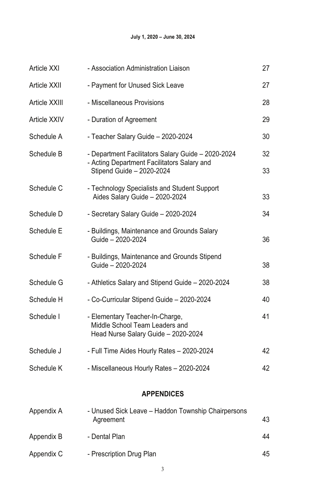| Article XXI   | - Association Administration Liaison                                                                                           |          |  |
|---------------|--------------------------------------------------------------------------------------------------------------------------------|----------|--|
| Article XXII  | - Payment for Unused Sick Leave                                                                                                | 27       |  |
| Article XXIII | - Miscellaneous Provisions                                                                                                     | 28       |  |
| Article XXIV  | - Duration of Agreement                                                                                                        | 29       |  |
| Schedule A    | - Teacher Salary Guide - 2020-2024                                                                                             | 30       |  |
| Schedule B    | - Department Facilitators Salary Guide - 2020-2024<br>- Acting Department Facilitators Salary and<br>Stipend Guide - 2020-2024 | 32<br>33 |  |
| Schedule C    | - Technology Specialists and Student Support<br>Aides Salary Guide - 2020-2024                                                 | 33       |  |
| Schedule D    | - Secretary Salary Guide - 2020-2024                                                                                           | 34       |  |
| Schedule E    | - Buildings, Maintenance and Grounds Salary<br>Guide - 2020-2024                                                               | 36       |  |
| Schedule F    | - Buildings, Maintenance and Grounds Stipend<br>Guide - 2020-2024                                                              | 38       |  |
| Schedule G    | - Athletics Salary and Stipend Guide - 2020-2024                                                                               | 38       |  |
| Schedule H    | - Co-Curricular Stipend Guide - 2020-2024                                                                                      | 40       |  |
| Schedule I    | - Elementary Teacher-In-Charge,<br>Middle School Team Leaders and<br>Head Nurse Salary Guide - 2020-2024                       | 41       |  |
| Schedule J    | - Full Time Aides Hourly Rates - 2020-2024                                                                                     | 42       |  |
| Schedule K    | - Miscellaneous Hourly Rates - 2020-2024                                                                                       | 42       |  |
|               | <b>APPENDICES</b>                                                                                                              |          |  |
| Appendix A    | - Unused Sick Leave - Haddon Township Chairpersons<br>Agreement                                                                | 43       |  |
| Appendix B    | - Dental Plan                                                                                                                  | 44       |  |
| Appendix C    | - Prescription Drug Plan                                                                                                       | 45       |  |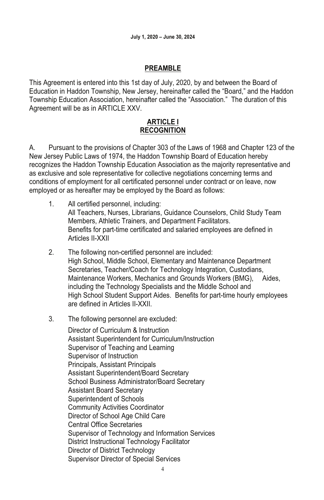#### **PREAMBLE**

This Agreement is entered into this 1st day of July, 2020, by and between the Board of Education in Haddon Township, New Jersey, hereinafter called the "Board," and the Haddon Township Education Association, hereinafter called the "Association." The duration of this Agreement will be as in ARTICLE XXV.

#### **ARTICLE I RECOGNITION**

A. Pursuant to the provisions of Chapter 303 of the Laws of 1968 and Chapter 123 of the New Jersey Public Laws of 1974, the Haddon Township Board of Education hereby recognizes the Haddon Township Education Association as the majority representative and as exclusive and sole representative for collective negotiations concerning terms and conditions of employment for all certificated personnel under contract or on leave, now employed or as hereafter may be employed by the Board as follows:

- 1. All certified personnel, including: All Teachers, Nurses, Librarians, Guidance Counselors, Child Study Team Members, Athletic Trainers, and Department Facilitators. Benefits for part-time certificated and salaried employees are defined in Articles II-XXII
- 2. The following non-certified personnel are included: High School, Middle School, Elementary and Maintenance Department Secretaries, Teacher/Coach for Technology Integration, Custodians, Maintenance Workers, Mechanics and Grounds Workers (BMG), Aides, including the Technology Specialists and the Middle School and High School Student Support Aides. Benefits for part-time hourly employees are defined in Articles II-XXII.
- 3. The following personnel are excluded:

 Director of Curriculum & Instruction Assistant Superintendent for Curriculum/Instruction Supervisor of Teaching and Learning Supervisor of Instruction Principals, Assistant Principals Assistant Superintendent/Board Secretary School Business Administrator/Board Secretary Assistant Board Secretary Superintendent of Schools Community Activities Coordinator Director of School Age Child Care Central Office Secretaries Supervisor of Technology and Information Services District Instructional Technology Facilitator Director of District Technology Supervisor Director of Special Services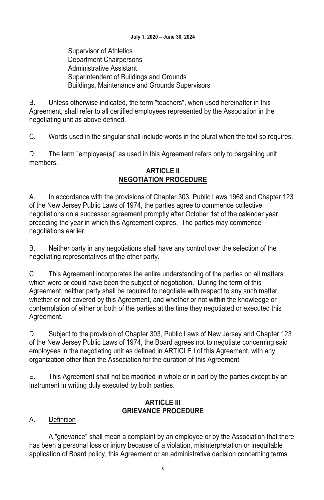Supervisor of Athletics Department Chairpersons Administrative Assistant Superintendent of Buildings and Grounds Buildings, Maintenance and Grounds Supervisors

B. Unless otherwise indicated, the term "teachers", when used hereinafter in this Agreement, shall refer to all certified employees represented by the Association in the negotiating unit as above defined.

C. Words used in the singular shall include words in the plural when the text so requires.

D. The term "employee(s)" as used in this Agreement refers only to bargaining unit members.

## **ARTICLE II NEGOTIATION PROCEDURE**

A. In accordance with the provisions of Chapter 303, Public Laws 1968 and Chapter 123 of the New Jersey Public Laws of 1974, the parties agree to commence collective negotiations on a successor agreement promptly after October 1st of the calendar year, preceding the year in which this Agreement expires. The parties may commence negotiations earlier.

B. Neither party in any negotiations shall have any control over the selection of the negotiating representatives of the other party.

C. This Agreement incorporates the entire understanding of the parties on all matters which were or could have been the subject of negotiation. During the term of this Agreement, neither party shall be required to negotiate with respect to any such matter whether or not covered by this Agreement, and whether or not within the knowledge or contemplation of either or both of the parties at the time they negotiated or executed this Agreement.

D. Subject to the provision of Chapter 303, Public Laws of New Jersey and Chapter 123 of the New Jersey Public Laws of 1974, the Board agrees not to negotiate concerning said employees in the negotiating unit as defined in ARTICLE I of this Agreement, with any organization other than the Association for the duration of this Agreement.

E. This Agreement shall not be modified in whole or in part by the parties except by an instrument in writing duly executed by both parties.

# **ARTICLE III GRIEVANCE PROCEDURE**

# A. Definition

 A "grievance" shall mean a complaint by an employee or by the Association that there has been a personal loss or injury because of a violation, misinterpretation or inequitable application of Board policy, this Agreement or an administrative decision concerning terms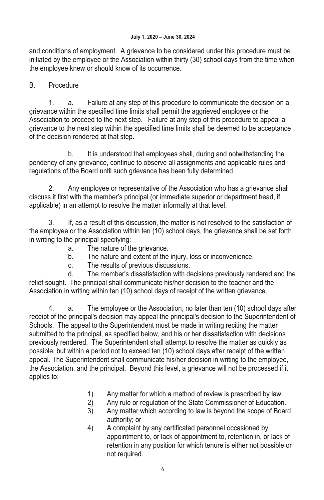and conditions of employment. A grievance to be considered under this procedure must be initiated by the employee or the Association within thirty (30) school days from the time when the employee knew or should know of its occurrence.

## B. Procedure

1. a. Failure at any step of this procedure to communicate the decision on a grievance within the specified time limits shall permit the aggrieved employee or the Association to proceed to the next step. Failure at any step of this procedure to appeal a grievance to the next step within the specified time limits shall be deemed to be acceptance of the decision rendered at that step.

 b. It is understood that employees shall, during and notwithstanding the pendency of any grievance, continue to observe all assignments and applicable rules and regulations of the Board until such grievance has been fully determined.

 2. Any employee or representative of the Association who has a grievance shall discuss it first with the member's principal (or immediate superior or department head, if applicable) in an attempt to resolve the matter informally at that level.

 3. If, as a result of this discussion, the matter is not resolved to the satisfaction of the employee or the Association within ten (10) school days, the grievance shall be set forth in writing to the principal specifying:

- a. The nature of the grievance.
- b. The nature and extent of the injury, loss or inconvenience.
- c. The results of previous discussions.

 d. The member's dissatisfaction with decisions previously rendered and the relief sought. The principal shall communicate his/her decision to the teacher and the Association in writing within ten (10) school days of receipt of the written grievance.

 4. a. The employee or the Association, no later than ten (10) school days after receipt of the principal's decision may appeal the principal's decision to the Superintendent of Schools. The appeal to the Superintendent must be made in writing reciting the matter submitted to the principal, as specified below, and his or her dissatisfaction with decisions previously rendered. The Superintendent shall attempt to resolve the matter as quickly as possible, but within a period not to exceed ten (10) school days after receipt of the written appeal. The Superintendent shall communicate his/her decision in writing to the employee, the Association, and the principal. Beyond this level, a grievance will not be processed if it applies to:

- 1) Any matter for which a method of review is prescribed by law.
- 2) Any rule or regulation of the State Commissioner of Education.
- 3) Any matter which according to law is beyond the scope of Board authority; or
- 4) A complaint by any certificated personnel occasioned by appointment to, or lack of appointment to, retention in, or lack of retention in any position for which tenure is either not possible or not required.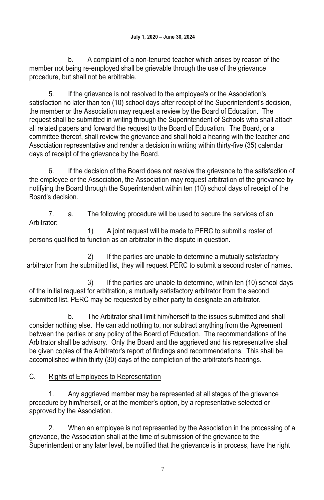b. A complaint of a non-tenured teacher which arises by reason of the member not being re-employed shall be grievable through the use of the grievance procedure, but shall not be arbitrable.

 5. If the grievance is not resolved to the employee's or the Association's satisfaction no later than ten (10) school days after receipt of the Superintendent's decision, the member or the Association may request a review by the Board of Education. The request shall be submitted in writing through the Superintendent of Schools who shall attach all related papers and forward the request to the Board of Education. The Board, or a committee thereof, shall review the grievance and shall hold a hearing with the teacher and Association representative and render a decision in writing within thirty-five (35) calendar days of receipt of the grievance by the Board.

 6. If the decision of the Board does not resolve the grievance to the satisfaction of the employee or the Association, the Association may request arbitration of the grievance by notifying the Board through the Superintendent within ten (10) school days of receipt of the Board's decision.

 7. a. The following procedure will be used to secure the services of an Arbitrator:

 1) A joint request will be made to PERC to submit a roster of persons qualified to function as an arbitrator in the dispute in question.

2) If the parties are unable to determine a mutually satisfactory arbitrator from the submitted list, they will request PERC to submit a second roster of names.

 3) If the parties are unable to determine, within ten (10) school days of the initial request for arbitration, a mutually satisfactory arbitrator from the second submitted list, PERC may be requested by either party to designate an arbitrator.

 b. The Arbitrator shall limit him/herself to the issues submitted and shall consider nothing else. He can add nothing to, nor subtract anything from the Agreement between the parties or any policy of the Board of Education. The recommendations of the Arbitrator shall be advisory. Only the Board and the aggrieved and his representative shall be given copies of the Arbitrator's report of findings and recommendations. This shall be accomplished within thirty (30) days of the completion of the arbitrator's hearings.

# C. Rights of Employees to Representation

 1. Any aggrieved member may be represented at all stages of the grievance procedure by him/herself, or at the member's option, by a representative selected or approved by the Association.

2. When an employee is not represented by the Association in the processing of a grievance, the Association shall at the time of submission of the grievance to the Superintendent or any later level, be notified that the grievance is in process, have the right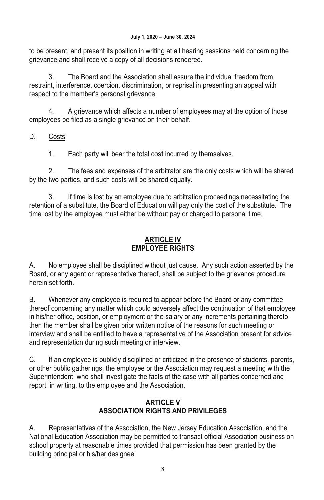to be present, and present its position in writing at all hearing sessions held concerning the grievance and shall receive a copy of all decisions rendered.

3. The Board and the Association shall assure the individual freedom from restraint, interference, coercion, discrimination, or reprisal in presenting an appeal with respect to the member's personal grievance.

 4. A grievance which affects a number of employees may at the option of those employees be filed as a single grievance on their behalf.

## D. Costs

1. Each party will bear the total cost incurred by themselves.

 2. The fees and expenses of the arbitrator are the only costs which will be shared by the two parties, and such costs will be shared equally.

 3. If time is lost by an employee due to arbitration proceedings necessitating the retention of a substitute, the Board of Education will pay only the cost of the substitute. The time lost by the employee must either be without pay or charged to personal time.

#### **ARTICLE IV EMPLOYEE RIGHTS**

A. No employee shall be disciplined without just cause. Any such action asserted by the Board, or any agent or representative thereof, shall be subject to the grievance procedure herein set forth.

B. Whenever any employee is required to appear before the Board or any committee thereof concerning any matter which could adversely affect the continuation of that employee in his/her office, position, or employment or the salary or any increments pertaining thereto, then the member shall be given prior written notice of the reasons for such meeting or interview and shall be entitled to have a representative of the Association present for advice and representation during such meeting or interview.

C. If an employee is publicly disciplined or criticized in the presence of students, parents, or other public gatherings, the employee or the Association may request a meeting with the Superintendent, who shall investigate the facts of the case with all parties concerned and report, in writing, to the employee and the Association.

## **ARTICLE V ASSOCIATION RIGHTS AND PRIVILEGES**

A. Representatives of the Association, the New Jersey Education Association, and the National Education Association may be permitted to transact official Association business on school property at reasonable times provided that permission has been granted by the building principal or his/her designee.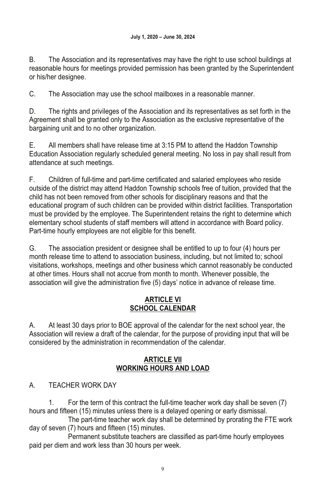B. The Association and its representatives may have the right to use school buildings at reasonable hours for meetings provided permission has been granted by the Superintendent or his/her designee.

C. The Association may use the school mailboxes in a reasonable manner.

D. The rights and privileges of the Association and its representatives as set forth in the Agreement shall be granted only to the Association as the exclusive representative of the bargaining unit and to no other organization.

E. All members shall have release time at 3:15 PM to attend the Haddon Township Education Association regularly scheduled general meeting. No loss in pay shall result from attendance at such meetings.

F. Children of full-time and part-time certificated and salaried employees who reside outside of the district may attend Haddon Township schools free of tuition, provided that the child has not been removed from other schools for disciplinary reasons and that the educational program of such children can be provided within district facilities. Transportation must be provided by the employee. The Superintendent retains the right to determine which elementary school students of staff members will attend in accordance with Board policy. Part-time hourly employees are not eligible for this benefit.

G. The association president or designee shall be entitled to up to four (4) hours per month release time to attend to association business, including, but not limited to; school visitations, workshops, meetings and other business which cannot reasonably be conducted at other times. Hours shall not accrue from month to month. Whenever possible, the association will give the administration five (5) days' notice in advance of release time.

### **ARTICLE VI SCHOOL CALENDAR**

A. At least 30 days prior to BOE approval of the calendar for the next school year, the Association will review a draft of the calendar, for the purpose of providing input that will be considered by the administration in recommendation of the calendar.

## **ARTICLE VII WORKING HOURS AND LOAD**

# A. TEACHER WORK DAY

 1. For the term of this contract the full-time teacher work day shall be seven (7) hours and fifteen (15) minutes unless there is a delayed opening or early dismissal.

The part-time teacher work day shall be determined by prorating the FTE work day of seven (7) hours and fifteen (15) minutes.

 Permanent substitute teachers are classified as part-time hourly employees paid per diem and work less than 30 hours per week.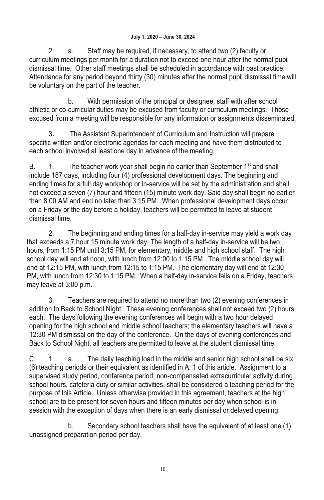2. a. Staff may be required, if necessary, to attend two (2) faculty or curriculum meetings per month for a duration not to exceed one hour after the normal pupil dismissal time. Other staff meetings shall be scheduled in accordance with past practice. Attendance for any period beyond thirty (30) minutes after the normal pupil dismissal time will be voluntary on the part of the teacher.

b. With permission of the principal or designee, staff with after school athletic or co-curricular duties may be excused from faculty or curriculum meetings. Those excused from a meeting will be responsible for any information or assignments disseminated.

3**.** The Assistant Superintendent of Curriculum and Instruction will prepare specific written and/or electronic agendas for each meeting and have them distributed to each school involved at least one day in advance of the meeting.

B. 1. The teacher work year shall begin no earlier than September  $1<sup>st</sup>$  and shall include 187 days, including four (4) professional development days. The beginning and ending times for a full day workshop or in-service will be set by the administration and shall not exceed a seven (7) hour and fifteen (15) minute work day. Said day shall begin no earlier than 8:00 AM and end no later than 3:15 PM. When professional development days occur on a Friday or the day before a holiday, teachers will be permitted to leave at student dismissal time.

2. The beginning and ending times for a half-day in-service may yield a work day that exceeds a 7 hour 15 minute work day. The length of a half-day in-service will be two hours, from 1:15 PM until 3:15 PM, for elementary, middle and high school staff. The high school day will end at noon, with lunch from 12:00 to 1:15 PM. The middle school day will end at 12:15 PM, with lunch from 12:15 to 1:15 PM. The elementary day will end at 12:30 PM, with lunch from 12:30 to 1:15 PM. When a half-day in-service falls on a Friday, teachers may leave at 3:00 p.m.

 3. Teachers are required to attend no more than two (2) evening conferences in addition to Back to School Night. These evening conferences shall not exceed two (2) hours each. The days following the evening conferences will begin with a two hour delayed opening for the high school and middle school teachers; the elementary teachers will have a 12:30 PM dismissal on the day of the conference. On the days of evening conferences and Back to School Night, all teachers are permitted to leave at the student dismissal time.

C. 1. a. The daily teaching load in the middle and senior high school shall be six (6) teaching periods or their equivalent as identified in A. 1 of this article. Assignment to a supervised study period, conference period, non-compensated extracurricular activity during school hours, cafeteria duty or similar activities, shall be considered a teaching period for the purpose of this Article. Unless otherwise provided in this agreement, teachers at the high school are to be present for seven hours and fifteen minutes per day when school is in session with the exception of days when there is an early dismissal or delayed opening.

 b. Secondary school teachers shall have the equivalent of at least one (1) unassigned preparation period per day.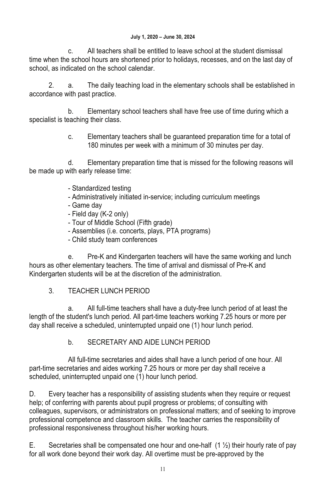c. All teachers shall be entitled to leave school at the student dismissal time when the school hours are shortened prior to holidays, recesses, and on the last day of school, as indicated on the school calendar.

 2. a. The daily teaching load in the elementary schools shall be established in accordance with past practice.

 b. Elementary school teachers shall have free use of time during which a specialist is teaching their class.

> c. Elementary teachers shall be guaranteed preparation time for a total of 180 minutes per week with a minimum of 30 minutes per day.

 d. Elementary preparation time that is missed for the following reasons will be made up with early release time:

- Standardized testing
- Administratively initiated in-service; including curriculum meetings
- Game day
- Field day (K-2 only)
- Tour of Middle School (Fifth grade)
- Assemblies (i.e. concerts, plays, PTA programs)
- Child study team conferences

e.Pre-K and Kindergarten teachers will have the same working and lunch hours as other elementary teachers. The time of arrival and dismissal of Pre-K and Kindergarten students will be at the discretion of the administration.

# 3. TEACHER LUNCH PERIOD

 a. All full-time teachers shall have a duty-free lunch period of at least the length of the student's lunch period. All part-time teachers working 7.25 hours or more per day shall receive a scheduled, uninterrupted unpaid one (1) hour lunch period.

b. SECRETARY AND AIDE LUNCH PERIOD

 All full-time secretaries and aides shall have a lunch period of one hour. All part-time secretaries and aides working 7.25 hours or more per day shall receive a scheduled, uninterrupted unpaid one (1) hour lunch period.

D. Every teacher has a responsibility of assisting students when they require or request help; of conferring with parents about pupil progress or problems; of consulting with colleagues, supervisors, or administrators on professional matters; and of seeking to improve professional competence and classroom skills. The teacher carries the responsibility of professional responsiveness throughout his/her working hours.

E. Secretaries shall be compensated one hour and one-half  $(1 \frac{1}{2})$  their hourly rate of pay for all work done beyond their work day. All overtime must be pre-approved by the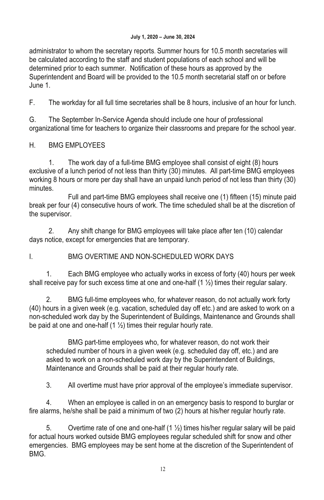administrator to whom the secretary reports. Summer hours for 10.5 month secretaries will be calculated according to the staff and student populations of each school and will be determined prior to each summer. Notification of these hours as approved by the Superintendent and Board will be provided to the 10.5 month secretarial staff on or before June 1.

F. The workday for all full time secretaries shall be 8 hours, inclusive of an hour for lunch.

G. The September In-Service Agenda should include one hour of professional organizational time for teachers to organize their classrooms and prepare for the school year.

# H. BMG EMPLOYEES

 1. The work day of a full-time BMG employee shall consist of eight (8) hours exclusive of a lunch period of not less than thirty (30) minutes. All part-time BMG employees working 8 hours or more per day shall have an unpaid lunch period of not less than thirty (30) minutes.

 Full and part-time BMG employees shall receive one (1) fifteen (15) minute paid break per four (4) consecutive hours of work. The time scheduled shall be at the discretion of the supervisor.

 2. Any shift change for BMG employees will take place after ten (10) calendar days notice, except for emergencies that are temporary.

I. BMG OVERTIME AND NON-SCHEDULED WORK DAYS

1. Each BMG employee who actually works in excess of forty (40) hours per week shall receive pay for such excess time at one and one-half  $(1 \frac{1}{2})$  times their regular salary.

2. BMG full-time employees who, for whatever reason, do not actually work forty (40) hours in a given week (e.g. vacation, scheduled day off etc.) and are asked to work on a non-scheduled work day by the Superintendent of Buildings, Maintenance and Grounds shall be paid at one and one-half  $(1 \frac{1}{2})$  times their regular hourly rate.

 BMG part-time employees who, for whatever reason, do not work their scheduled number of hours in a given week (e.g. scheduled day off, etc.) and are asked to work on a non-scheduled work day by the Superintendent of Buildings, Maintenance and Grounds shall be paid at their regular hourly rate.

3. All overtime must have prior approval of the employee's immediate supervisor.

4. When an employee is called in on an emergency basis to respond to burglar or fire alarms, he/she shall be paid a minimum of two (2) hours at his/her regular hourly rate.

5. Overtime rate of one and one-half  $(1 \frac{1}{2})$  times his/her regular salary will be paid for actual hours worked outside BMG employees regular scheduled shift for snow and other emergencies. BMG employees may be sent home at the discretion of the Superintendent of BMG.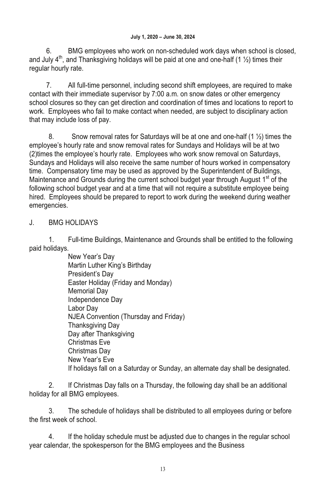BMG employees who work on non-scheduled work days when school is closed, and July  $4<sup>th</sup>$ , and Thanksgiving holidays will be paid at one and one-half (1  $\frac{1}{2}$ ) times their regular hourly rate.

7. All full-time personnel, including second shift employees, are required to make contact with their immediate supervisor by 7:00 a.m. on snow dates or other emergency school closures so they can get direction and coordination of times and locations to report to work. Employees who fail to make contact when needed, are subject to disciplinary action that may include loss of pay.

8. Snow removal rates for Saturdays will be at one and one-half  $(1 \frac{1}{2})$  times the employee's hourly rate and snow removal rates for Sundays and Holidays will be at two (2)times the employee's hourly rate. Employees who work snow removal on Saturdays, Sundays and Holidays will also receive the same number of hours worked in compensatory time. Compensatory time may be used as approved by the Superintendent of Buildings, Maintenance and Grounds during the current school budget year through August 1<sup>st</sup> of the following school budget year and at a time that will not require a substitute employee being hired. Employees should be prepared to report to work during the weekend during weather emergencies.

## J. BMG HOLIDAYS

 1. Full-time Buildings, Maintenance and Grounds shall be entitled to the following paid holidays.

> New Year's Day Martin Luther King's Birthday President's Day Easter Holiday (Friday and Monday) Memorial Day Independence Day Labor Day NJEA Convention (Thursday and Friday) Thanksgiving Day Day after Thanksgiving Christmas Eve Christmas Day New Year's Eve If holidays fall on a Saturday or Sunday, an alternate day shall be designated.

 2. If Christmas Day falls on a Thursday, the following day shall be an additional holiday for all BMG employees.

 3. The schedule of holidays shall be distributed to all employees during or before the first week of school.

 4. If the holiday schedule must be adjusted due to changes in the regular school year calendar, the spokesperson for the BMG employees and the Business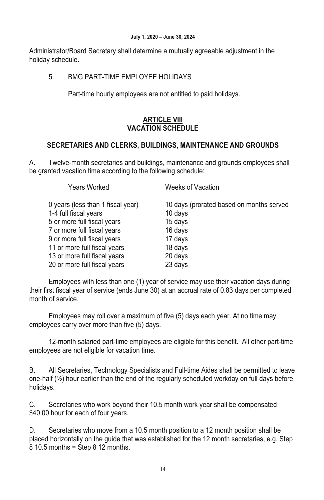Administrator/Board Secretary shall determine a mutually agreeable adjustment in the holiday schedule.

5. BMG PART-TIME EMPLOYEE HOLIDAYS

Part-time hourly employees are not entitled to paid holidays.

#### **ARTICLE VIII VACATION SCHEDULE**

### **SECRETARIES AND CLERKS, BUILDINGS, MAINTENANCE AND GROUNDS**

A. Twelve-month secretaries and buildings, maintenance and grounds employees shall be granted vacation time according to the following schedule:

| Years Worked<br><b>Weeks of Vacation</b>                                      |  |
|-------------------------------------------------------------------------------|--|
| 10 days (prorated based on months served<br>0 years (less than 1 fiscal year) |  |
| 1-4 full fiscal years<br>10 days                                              |  |
| 5 or more full fiscal years<br>15 days                                        |  |
| 7 or more full fiscal years<br>16 days                                        |  |
| 9 or more full fiscal years<br>17 days                                        |  |
| 11 or more full fiscal years<br>18 days                                       |  |
| 13 or more full fiscal years<br>20 days                                       |  |
| 23 days<br>20 or more full fiscal years                                       |  |

 Employees with less than one (1) year of service may use their vacation days during their first fiscal year of service (ends June 30) at an accrual rate of 0.83 days per completed month of service.

 Employees may roll over a maximum of five (5) days each year. At no time may employees carry over more than five (5) days.

 12-month salaried part-time employees are eligible for this benefit. All other part-time employees are not eligible for vacation time.

B. All Secretaries, Technology Specialists and Full-time Aides shall be permitted to leave one-half (½) hour earlier than the end of the regularly scheduled workday on full days before holidays.

C. Secretaries who work beyond their 10.5 month work year shall be compensated \$40.00 hour for each of four years.

D. Secretaries who move from a 10.5 month position to a 12 month position shall be placed horizontally on the guide that was established for the 12 month secretaries, e.g. Step 8 10.5 months = Step 8 12 months.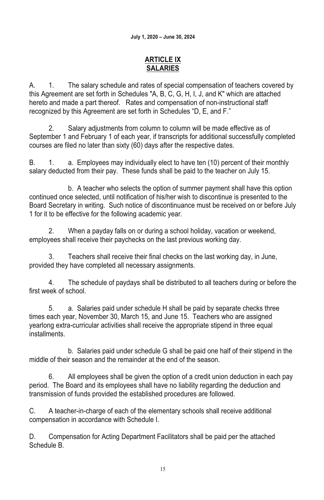### **ARTICLE IX SALARIES**

A. 1. The salary schedule and rates of special compensation of teachers covered by this Agreement are set forth in Schedules "A, B, C, G, H, I, J, and K" which are attached hereto and made a part thereof. Rates and compensation of non-instructional staff recognized by this Agreement are set forth in Schedules "D, E, and F."

 2. Salary adjustments from column to column will be made effective as of September 1 and February 1 of each year, if transcripts for additional successfully completed courses are filed no later than sixty (60) days after the respective dates.

B. 1. a. Employees may individually elect to have ten (10) percent of their monthly salary deducted from their pay. These funds shall be paid to the teacher on July 15.

 b. A teacher who selects the option of summer payment shall have this option continued once selected, until notification of his/her wish to discontinue is presented to the Board Secretary in writing. Such notice of discontinuance must be received on or before July 1 for it to be effective for the following academic year.

 2. When a payday falls on or during a school holiday, vacation or weekend, employees shall receive their paychecks on the last previous working day.

 3. Teachers shall receive their final checks on the last working day, in June, provided they have completed all necessary assignments.

 4. The schedule of paydays shall be distributed to all teachers during or before the first week of school.

 5. a. Salaries paid under schedule H shall be paid by separate checks three times each year, November 30, March 15, and June 15. Teachers who are assigned yearlong extra-curricular activities shall receive the appropriate stipend in three equal installments.

 b. Salaries paid under schedule G shall be paid one half of their stipend in the middle of their season and the remainder at the end of the season.

 6. All employees shall be given the option of a credit union deduction in each pay period. The Board and its employees shall have no liability regarding the deduction and transmission of funds provided the established procedures are followed.

C. A teacher-in-charge of each of the elementary schools shall receive additional compensation in accordance with Schedule I.

D. Compensation for Acting Department Facilitators shall be paid per the attached Schedule B.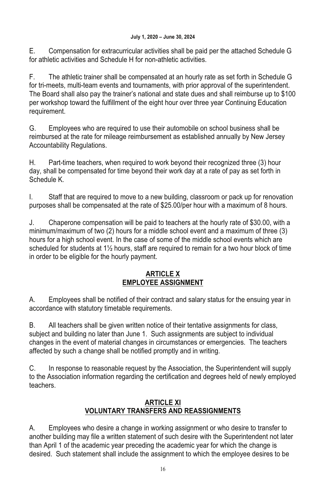E. Compensation for extracurricular activities shall be paid per the attached Schedule G for athletic activities and Schedule H for non-athletic activities.

F. The athletic trainer shall be compensated at an hourly rate as set forth in Schedule G for tri-meets, multi-team events and tournaments, with prior approval of the superintendent. The Board shall also pay the trainer's national and state dues and shall reimburse up to \$100 per workshop toward the fulfillment of the eight hour over three year Continuing Education requirement.

G. Employees who are required to use their automobile on school business shall be reimbursed at the rate for mileage reimbursement as established annually by New Jersey Accountability Regulations.

H. Part-time teachers, when required to work beyond their recognized three (3) hour day, shall be compensated for time beyond their work day at a rate of pay as set forth in Schedule K.

I. Staff that are required to move to a new building, classroom or pack up for renovation purposes shall be compensated at the rate of \$25.00/per hour with a maximum of 8 hours.

J. Chaperone compensation will be paid to teachers at the hourly rate of \$30.00, with a minimum/maximum of two (2) hours for a middle school event and a maximum of three (3) hours for a high school event. In the case of some of the middle school events which are scheduled for students at 1<sup>1</sup>/<sub>2</sub> hours, staff are required to remain for a two hour block of time in order to be eligible for the hourly payment.

## **ARTICLE X EMPLOYEE ASSIGNMENT**

A. Employees shall be notified of their contract and salary status for the ensuing year in accordance with statutory timetable requirements.

B. All teachers shall be given written notice of their tentative assignments for class, subject and building no later than June 1. Such assignments are subject to individual changes in the event of material changes in circumstances or emergencies. The teachers affected by such a change shall be notified promptly and in writing.

C. In response to reasonable request by the Association, the Superintendent will supply to the Association information regarding the certification and degrees held of newly employed teachers.

# **ARTICLE XI VOLUNTARY TRANSFERS AND REASSIGNMENTS**

A. Employees who desire a change in working assignment or who desire to transfer to another building may file a written statement of such desire with the Superintendent not later than April 1 of the academic year preceding the academic year for which the change is desired. Such statement shall include the assignment to which the employee desires to be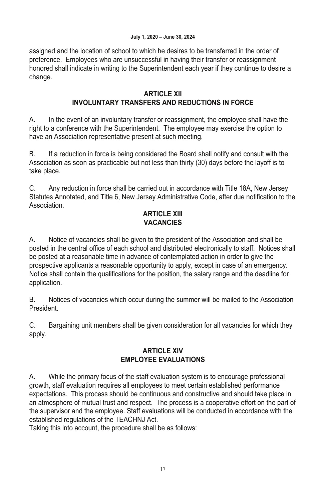assigned and the location of school to which he desires to be transferred in the order of preference. Employees who are unsuccessful in having their transfer or reassignment honored shall indicate in writing to the Superintendent each year if they continue to desire a change.

#### **ARTICLE XII INVOLUNTARY TRANSFERS AND REDUCTIONS IN FORCE**

A. In the event of an involuntary transfer or reassignment, the employee shall have the right to a conference with the Superintendent. The employee may exercise the option to have an Association representative present at such meeting.

B. If a reduction in force is being considered the Board shall notify and consult with the Association as soon as practicable but not less than thirty (30) days before the layoff is to take place.

C. Any reduction in force shall be carried out in accordance with Title 18A, New Jersey Statutes Annotated, and Title 6, New Jersey Administrative Code, after due notification to the Association.

## **ARTICLE XIII VACANCIES**

A. Notice of vacancies shall be given to the president of the Association and shall be posted in the central office of each school and distributed electronically to staff. Notices shall be posted at a reasonable time in advance of contemplated action in order to give the prospective applicants a reasonable opportunity to apply, except in case of an emergency. Notice shall contain the qualifications for the position, the salary range and the deadline for application.

B. Notices of vacancies which occur during the summer will be mailed to the Association President.

C. Bargaining unit members shall be given consideration for all vacancies for which they apply.

# **ARTICLE XIV EMPLOYEE EVALUATIONS**

A. While the primary focus of the staff evaluation system is to encourage professional growth, staff evaluation requires all employees to meet certain established performance expectations. This process should be continuous and constructive and should take place in an atmosphere of mutual trust and respect. The process is a cooperative effort on the part of the supervisor and the employee. Staff evaluations will be conducted in accordance with the established regulations of the TEACHNJ Act.

Taking this into account, the procedure shall be as follows: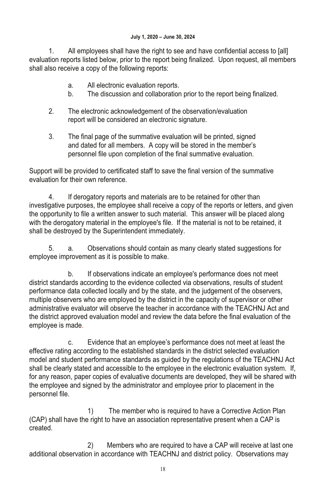1. All employees shall have the right to see and have confidential access to [all] evaluation reports listed below, prior to the report being finalized. Upon request, all members shall also receive a copy of the following reports:

- a. All electronic evaluation reports.
- b. The discussion and collaboration prior to the report being finalized.
- 2. The electronic acknowledgement of the observation/evaluation report will be considered an electronic signature.
- 3. The final page of the summative evaluation will be printed, signed and dated for all members. A copy will be stored in the member's personnel file upon completion of the final summative evaluation.

Support will be provided to certificated staff to save the final version of the summative evaluation for their own reference.

 4. If derogatory reports and materials are to be retained for other than investigative purposes, the employee shall receive a copy of the reports or letters, and given the opportunity to file a written answer to such material. This answer will be placed along with the derogatory material in the employee's file. If the material is not to be retained, it shall be destroyed by the Superintendent immediately.

 5. a. Observations should contain as many clearly stated suggestions for employee improvement as it is possible to make.

 b. If observations indicate an employee's performance does not meet district standards according to the evidence collected via observations, results of student performance data collected locally and by the state, and the judgement of the observers, multiple observers who are employed by the district in the capacity of supervisor or other administrative evaluator will observe the teacher in accordance with the TEACHNJ Act and the district approved evaluation model and review the data before the final evaluation of the employee is made.

 c. Evidence that an employee's performance does not meet at least the effective rating according to the established standards in the district selected evaluation model and student performance standards as guided by the regulations of the TEACHNJ Act shall be clearly stated and accessible to the employee in the electronic evaluation system. If, for any reason, paper copies of evaluative documents are developed, they will be shared with the employee and signed by the administrator and employee prior to placement in the personnel file.

 1) The member who is required to have a Corrective Action Plan (CAP) shall have the right to have an association representative present when a CAP is created.

 2) Members who are required to have a CAP will receive at last one additional observation in accordance with TEACHNJ and district policy. Observations may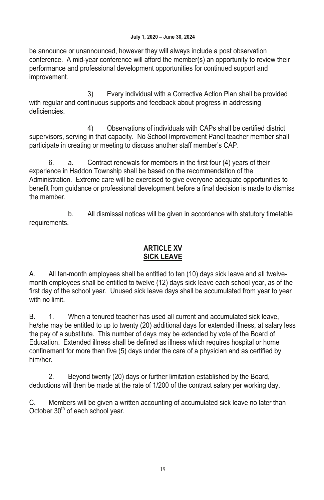be announce or unannounced, however they will always include a post observation conference. A mid-year conference will afford the member(s) an opportunity to review their performance and professional development opportunities for continued support and improvement.

 3) Every individual with a Corrective Action Plan shall be provided with regular and continuous supports and feedback about progress in addressing deficiencies.

 4) Observations of individuals with CAPs shall be certified district supervisors, serving in that capacity. No School Improvement Panel teacher member shall participate in creating or meeting to discuss another staff member's CAP.

 6. a. Contract renewals for members in the first four (4) years of their experience in Haddon Township shall be based on the recommendation of the Administration. Extreme care will be exercised to give everyone adequate opportunities to benefit from guidance or professional development before a final decision is made to dismiss the member.

 b. All dismissal notices will be given in accordance with statutory timetable requirements.

## **ARTICLE XV SICK LEAVE**

A. All ten-month employees shall be entitled to ten (10) days sick leave and all twelvemonth employees shall be entitled to twelve (12) days sick leave each school year, as of the first day of the school year. Unused sick leave days shall be accumulated from year to year with no limit.

B. 1. When a tenured teacher has used all current and accumulated sick leave, he/she may be entitled to up to twenty (20) additional days for extended illness, at salary less the pay of a substitute. This number of days may be extended by vote of the Board of Education. Extended illness shall be defined as illness which requires hospital or home confinement for more than five (5) days under the care of a physician and as certified by him/her.

 2. Beyond twenty (20) days or further limitation established by the Board, deductions will then be made at the rate of 1/200 of the contract salary per working day.

C. Members will be given a written accounting of accumulated sick leave no later than October 30<sup>th</sup> of each school year.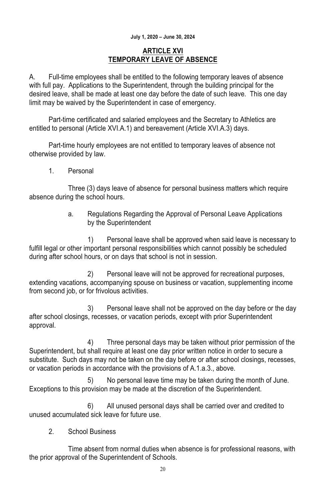#### **ARTICLE XVI TEMPORARY LEAVE OF ABSENCE**

A. Full-time employees shall be entitled to the following temporary leaves of absence with full pay. Applications to the Superintendent, through the building principal for the desired leave, shall be made at least one day before the date of such leave. This one day limit may be waived by the Superintendent in case of emergency.

 Part-time certificated and salaried employees and the Secretary to Athletics are entitled to personal (Article XVI.A.1) and bereavement (Article XVI.A.3) days.

 Part-time hourly employees are not entitled to temporary leaves of absence not otherwise provided by law.

1. Personal

 Three (3) days leave of absence for personal business matters which require absence during the school hours.

> a. Regulations Regarding the Approval of Personal Leave Applications by the Superintendent

 1) Personal leave shall be approved when said leave is necessary to fulfill legal or other important personal responsibilities which cannot possibly be scheduled during after school hours, or on days that school is not in session.

 2) Personal leave will not be approved for recreational purposes, extending vacations, accompanying spouse on business or vacation, supplementing income from second job, or for frivolous activities.

 3) Personal leave shall not be approved on the day before or the day after school closings, recesses, or vacation periods, except with prior Superintendent approval.

 4) Three personal days may be taken without prior permission of the Superintendent, but shall require at least one day prior written notice in order to secure a substitute. Such days may not be taken on the day before or after school closings, recesses, or vacation periods in accordance with the provisions of A.1.a.3., above.

 5) No personal leave time may be taken during the month of June. Exceptions to this provision may be made at the discretion of the Superintendent.

 6) All unused personal days shall be carried over and credited to unused accumulated sick leave for future use.

2. School Business

 Time absent from normal duties when absence is for professional reasons, with the prior approval of the Superintendent of Schools.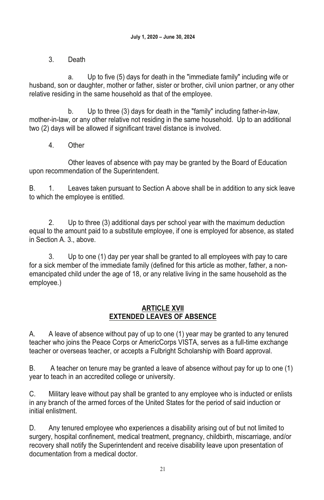3. Death

 a. Up to five (5) days for death in the "immediate family" including wife or husband, son or daughter, mother or father, sister or brother, civil union partner, or any other relative residing in the same household as that of the employee.

 b. Up to three (3) days for death in the "family" including father-in-law, mother-in-law, or any other relative not residing in the same household. Up to an additional two (2) days will be allowed if significant travel distance is involved.

4. Other

 Other leaves of absence with pay may be granted by the Board of Education upon recommendation of the Superintendent.

B. 1. Leaves taken pursuant to Section A above shall be in addition to any sick leave to which the employee is entitled.

 2. Up to three (3) additional days per school year with the maximum deduction equal to the amount paid to a substitute employee, if one is employed for absence, as stated in Section A. 3., above.

 3. Up to one (1) day per year shall be granted to all employees with pay to care for a sick member of the immediate family (defined for this article as mother, father, a nonemancipated child under the age of 18, or any relative living in the same household as the employee.)

## **ARTICLE XVII EXTENDED LEAVES OF ABSENCE**

A. A leave of absence without pay of up to one (1) year may be granted to any tenured teacher who joins the Peace Corps or AmericCorps VISTA, serves as a full-time exchange teacher or overseas teacher, or accepts a Fulbright Scholarship with Board approval.

B. A teacher on tenure may be granted a leave of absence without pay for up to one (1) year to teach in an accredited college or university.

C. Military leave without pay shall be granted to any employee who is inducted or enlists in any branch of the armed forces of the United States for the period of said induction or initial enlistment.

D. Any tenured employee who experiences a disability arising out of but not limited to surgery, hospital confinement, medical treatment, pregnancy, childbirth, miscarriage, and/or recovery shall notify the Superintendent and receive disability leave upon presentation of documentation from a medical doctor.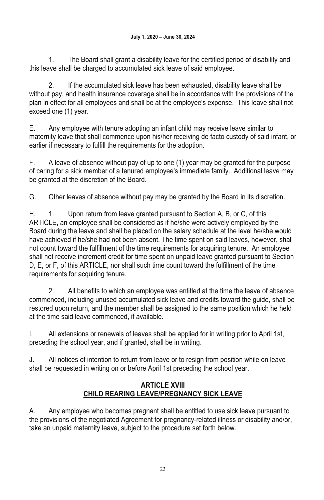1. The Board shall grant a disability leave for the certified period of disability and this leave shall be charged to accumulated sick leave of said employee.

 2. If the accumulated sick leave has been exhausted, disability leave shall be without pay, and health insurance coverage shall be in accordance with the provisions of the plan in effect for all employees and shall be at the employee's expense. This leave shall not exceed one (1) year.

E. Any employee with tenure adopting an infant child may receive leave similar to maternity leave that shall commence upon his/her receiving de facto custody of said infant, or earlier if necessary to fulfill the requirements for the adoption.

F. A leave of absence without pay of up to one (1) year may be granted for the purpose of caring for a sick member of a tenured employee's immediate family. Additional leave may be granted at the discretion of the Board.

G. Other leaves of absence without pay may be granted by the Board in its discretion.

H. 1. Upon return from leave granted pursuant to Section A, B, or C, of this ARTICLE, an employee shall be considered as if he/she were actively employed by the Board during the leave and shall be placed on the salary schedule at the level he/she would have achieved if he/she had not been absent. The time spent on said leaves, however, shall not count toward the fulfillment of the time requirements for acquiring tenure. An employee shall not receive increment credit for time spent on unpaid leave granted pursuant to Section D, E, or F, of this ARTICLE, nor shall such time count toward the fulfillment of the time requirements for acquiring tenure.

 2. All benefits to which an employee was entitled at the time the leave of absence commenced, including unused accumulated sick leave and credits toward the guide, shall be restored upon return, and the member shall be assigned to the same position which he held at the time said leave commenced, if available.

I. All extensions or renewals of leaves shall be applied for in writing prior to April 1st, preceding the school year, and if granted, shall be in writing.

J. All notices of intention to return from leave or to resign from position while on leave shall be requested in writing on or before April 1st preceding the school year.

# **ARTICLE XVIII CHILD REARING LEAVE/PREGNANCY SICK LEAVE**

A. Any employee who becomes pregnant shall be entitled to use sick leave pursuant to the provisions of the negotiated Agreement for pregnancy-related illness or disability and/or, take an unpaid maternity leave, subject to the procedure set forth below.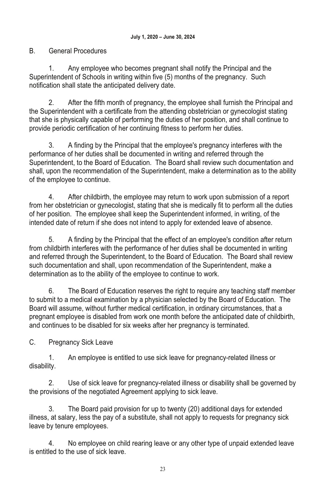# B. General Procedures

 1. Any employee who becomes pregnant shall notify the Principal and the Superintendent of Schools in writing within five (5) months of the pregnancy. Such notification shall state the anticipated delivery date.

 2. After the fifth month of pregnancy, the employee shall furnish the Principal and the Superintendent with a certificate from the attending obstetrician or gynecologist stating that she is physically capable of performing the duties of her position, and shall continue to provide periodic certification of her continuing fitness to perform her duties.

 3. A finding by the Principal that the employee's pregnancy interferes with the performance of her duties shall be documented in writing and referred through the Superintendent, to the Board of Education. The Board shall review such documentation and shall, upon the recommendation of the Superintendent, make a determination as to the ability of the employee to continue.

 4. After childbirth, the employee may return to work upon submission of a report from her obstetrician or gynecologist, stating that she is medically fit to perform all the duties of her position. The employee shall keep the Superintendent informed, in writing, of the intended date of return if she does not intend to apply for extended leave of absence.

 5. A finding by the Principal that the effect of an employee's condition after return from childbirth interferes with the performance of her duties shall be documented in writing and referred through the Superintendent, to the Board of Education. The Board shall review such documentation and shall, upon recommendation of the Superintendent, make a determination as to the ability of the employee to continue to work.

 6. The Board of Education reserves the right to require any teaching staff member to submit to a medical examination by a physician selected by the Board of Education. The Board will assume, without further medical certification, in ordinary circumstances, that a pregnant employee is disabled from work one month before the anticipated date of childbirth, and continues to be disabled for six weeks after her pregnancy is terminated.

C. Pregnancy Sick Leave

 1. An employee is entitled to use sick leave for pregnancy-related illness or disability.

 2. Use of sick leave for pregnancy-related illness or disability shall be governed by the provisions of the negotiated Agreement applying to sick leave.

 3. The Board paid provision for up to twenty (20) additional days for extended illness, at salary, less the pay of a substitute, shall not apply to requests for pregnancy sick leave by tenure employees.

 4. No employee on child rearing leave or any other type of unpaid extended leave is entitled to the use of sick leave.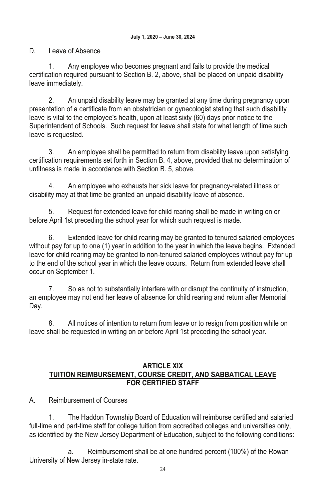## D. Leave of Absence

 1. Any employee who becomes pregnant and fails to provide the medical certification required pursuant to Section B. 2, above, shall be placed on unpaid disability leave immediately.

 2. An unpaid disability leave may be granted at any time during pregnancy upon presentation of a certificate from an obstetrician or gynecologist stating that such disability leave is vital to the employee's health, upon at least sixty (60) days prior notice to the Superintendent of Schools. Such request for leave shall state for what length of time such leave is requested.

 3. An employee shall be permitted to return from disability leave upon satisfying certification requirements set forth in Section B. 4, above, provided that no determination of unfitness is made in accordance with Section B. 5, above.

 4. An employee who exhausts her sick leave for pregnancy-related illness or disability may at that time be granted an unpaid disability leave of absence.

 5. Request for extended leave for child rearing shall be made in writing on or before April 1st preceding the school year for which such request is made.

 6. Extended leave for child rearing may be granted to tenured salaried employees without pay for up to one (1) year in addition to the year in which the leave begins. Extended leave for child rearing may be granted to non-tenured salaried employees without pay for up to the end of the school year in which the leave occurs. Return from extended leave shall occur on September 1.

7. So as not to substantially interfere with or disrupt the continuity of instruction, an employee may not end her leave of absence for child rearing and return after Memorial Day.

 8. All notices of intention to return from leave or to resign from position while on leave shall be requested in writing on or before April 1st preceding the school year.

### **ARTICLE XIX TUITION REIMBURSEMENT, COURSE CREDIT, AND SABBATICAL LEAVE FOR CERTIFIED STAFF**

A. Reimbursement of Courses

 1. The Haddon Township Board of Education will reimburse certified and salaried full-time and part-time staff for college tuition from accredited colleges and universities only, as identified by the New Jersey Department of Education, subject to the following conditions:

 a. Reimbursement shall be at one hundred percent (100%) of the Rowan University of New Jersey in-state rate.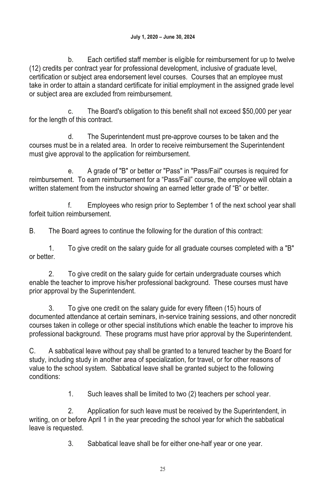b. Each certified staff member is eligible for reimbursement for up to twelve (12) credits per contract year for professional development, inclusive of graduate level, certification or subject area endorsement level courses. Courses that an employee must take in order to attain a standard certificate for initial employment in the assigned grade level or subject area are excluded from reimbursement.

The Board's obligation to this benefit shall not exceed \$50,000 per year for the length of this contract.

 d. The Superintendent must pre-approve courses to be taken and the courses must be in a related area. In order to receive reimbursement the Superintendent must give approval to the application for reimbursement.

 e. A grade of "B" or better or "Pass" in "Pass/Fail" courses is required for reimbursement. To earn reimbursement for a "Pass/Fail" course, the employee will obtain a written statement from the instructor showing an earned letter grade of "B" or better.

f. Employees who resign prior to September 1 of the next school year shall forfeit tuition reimbursement.

B. The Board agrees to continue the following for the duration of this contract:

 1. To give credit on the salary guide for all graduate courses completed with a "B" or better.

 2. To give credit on the salary guide for certain undergraduate courses which enable the teacher to improve his/her professional background. These courses must have prior approval by the Superintendent.

 3. To give one credit on the salary guide for every fifteen (15) hours of documented attendance at certain seminars, in-service training sessions, and other noncredit courses taken in college or other special institutions which enable the teacher to improve his professional background. These programs must have prior approval by the Superintendent.

C. A sabbatical leave without pay shall be granted to a tenured teacher by the Board for study, including study in another area of specialization, for travel, or for other reasons of value to the school system. Sabbatical leave shall be granted subject to the following conditions:

1. Such leaves shall be limited to two (2) teachers per school year.

 2. Application for such leave must be received by the Superintendent, in writing, on or before April 1 in the year preceding the school year for which the sabbatical leave is requested.

3. Sabbatical leave shall be for either one-half year or one year.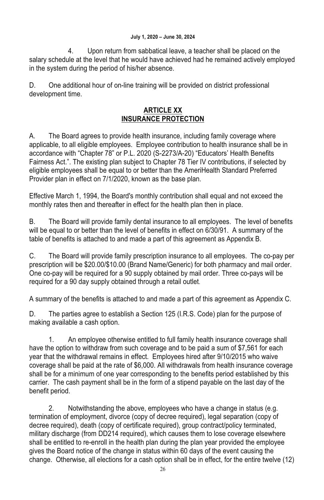Upon return from sabbatical leave, a teacher shall be placed on the salary schedule at the level that he would have achieved had he remained actively employed in the system during the period of his/her absence.

D. One additional hour of on-line training will be provided on district professional development time.

## **ARTICLE XX INSURANCE PROTECTION**

A. The Board agrees to provide health insurance, including family coverage where applicable, to all eligible employees. Employee contribution to health insurance shall be in accordance with "Chapter 78" or P.L. 2020 (S-2273/A-20) "Educators' Health Benefits Fairness Act.". The existing plan subject to Chapter 78 Tier IV contributions, if selected by eligible employees shall be equal to or better than the AmeriHealth Standard Preferred Provider plan in effect on 7/1/2020, known as the base plan.

Effective March 1, 1994, the Board's monthly contribution shall equal and not exceed the monthly rates then and thereafter in effect for the health plan then in place.

B. The Board will provide family dental insurance to all employees. The level of benefits will be equal to or better than the level of benefits in effect on 6/30/91. A summary of the table of benefits is attached to and made a part of this agreement as Appendix B.

C. The Board will provide family prescription insurance to all employees. The co-pay per prescription will be \$20.00/\$10.00 (Brand Name/Generic) for both pharmacy and mail order. One co-pay will be required for a 90 supply obtained by mail order. Three co-pays will be required for a 90 day supply obtained through a retail outlet.

A summary of the benefits is attached to and made a part of this agreement as Appendix C.

D. The parties agree to establish a Section 125 (I.R.S. Code) plan for the purpose of making available a cash option.

1. An employee otherwise entitled to full family health insurance coverage shall have the option to withdraw from such coverage and to be paid a sum of \$7,561 for each year that the withdrawal remains in effect. Employees hired after 9/10/2015 who waive coverage shall be paid at the rate of \$6,000. All withdrawals from health insurance coverage shall be for a minimum of one year corresponding to the benefits period established by this carrier. The cash payment shall be in the form of a stipend payable on the last day of the benefit period.

 2. Notwithstanding the above, employees who have a change in status (e.g. termination of employment, divorce (copy of decree required), legal separation (copy of decree required), death (copy of certificate required), group contract/policy terminated, military discharge (from DD214 required), which causes them to lose coverage elsewhere shall be entitled to re-enroll in the health plan during the plan year provided the employee gives the Board notice of the change in status within 60 days of the event causing the change. Otherwise, all elections for a cash option shall be in effect, for the entire twelve (12)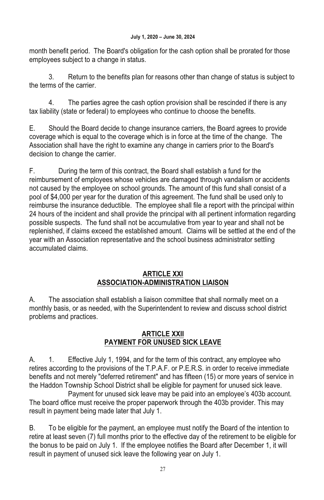month benefit period. The Board's obligation for the cash option shall be prorated for those employees subject to a change in status.

 3. Return to the benefits plan for reasons other than change of status is subject to the terms of the carrier.

 4. The parties agree the cash option provision shall be rescinded if there is any tax liability (state or federal) to employees who continue to choose the benefits.

E. Should the Board decide to change insurance carriers, the Board agrees to provide coverage which is equal to the coverage which is in force at the time of the change. The Association shall have the right to examine any change in carriers prior to the Board's decision to change the carrier.

F. During the term of this contract, the Board shall establish a fund for the reimbursement of employees whose vehicles are damaged through vandalism or accidents not caused by the employee on school grounds. The amount of this fund shall consist of a pool of \$4,000 per year for the duration of this agreement. The fund shall be used only to reimburse the insurance deductible. The employee shall file a report with the principal within 24 hours of the incident and shall provide the principal with all pertinent information regarding possible suspects. The fund shall not be accumulative from year to year and shall not be replenished, if claims exceed the established amount. Claims will be settled at the end of the year with an Association representative and the school business administrator settling accumulated claims.

### **ARTICLE XXI ASSOCIATION-ADMINISTRATION LIAISON**

A. The association shall establish a liaison committee that shall normally meet on a monthly basis, or as needed, with the Superintendent to review and discuss school district problems and practices.

## **ARTICLE XXII PAYMENT FOR UNUSED SICK LEAVE**

A. 1. Effective July 1, 1994, and for the term of this contract, any employee who retires according to the provisions of the T.P.A.F. or P.E.R.S. in order to receive immediate benefits and not merely "deferred retirement" and has fifteen (15) or more years of service in the Haddon Township School District shall be eligible for payment for unused sick leave.

 Payment for unused sick leave may be paid into an employee's 403b account. The board office must receive the proper paperwork through the 403b provider. This may result in payment being made later that July 1.

B. To be eligible for the payment, an employee must notify the Board of the intention to retire at least seven (7) full months prior to the effective day of the retirement to be eligible for the bonus to be paid on July 1. If the employee notifies the Board after December 1, it will result in payment of unused sick leave the following year on July 1.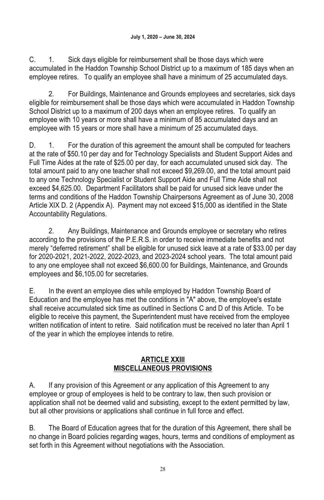C. 1. Sick days eligible for reimbursement shall be those days which were accumulated in the Haddon Township School District up to a maximum of 185 days when an employee retires. To qualify an employee shall have a minimum of 25 accumulated days.

 2. For Buildings, Maintenance and Grounds employees and secretaries, sick days eligible for reimbursement shall be those days which were accumulated in Haddon Township School District up to a maximum of 200 days when an employee retires. To qualify an employee with 10 years or more shall have a minimum of 85 accumulated days and an employee with 15 years or more shall have a minimum of 25 accumulated days.

D. 1. For the duration of this agreement the amount shall be computed for teachers at the rate of \$50.10 per day and for Technology Specialists and Student Support Aides and Full Time Aides at the rate of \$25.00 per day, for each accumulated unused sick day. The total amount paid to any one teacher shall not exceed \$9,269.00, and the total amount paid to any one Technology Specialist or Student Support Aide and Full Time Aide shall not exceed \$4,625.00. Department Facilitators shall be paid for unused sick leave under the terms and conditions of the Haddon Township Chairpersons Agreement as of June 30, 2008 Article XIX D. 2 (Appendix A). Payment may not exceed \$15,000 as identified in the State Accountability Regulations.

 2. Any Buildings, Maintenance and Grounds employee or secretary who retires according to the provisions of the P.E.R.S. in order to receive immediate benefits and not merely "deferred retirement" shall be eligible for unused sick leave at a rate of \$33.00 per day for 2020-2021, 2021-2022, 2022-2023, and 2023-2024 school years. The total amount paid to any one employee shall not exceed \$6,600.00 for Buildings, Maintenance, and Grounds employees and \$6,105.00 for secretaries.

E. In the event an employee dies while employed by Haddon Township Board of Education and the employee has met the conditions in "A" above, the employee's estate shall receive accumulated sick time as outlined in Sections C and D of this Article. To be eligible to receive this payment, the Superintendent must have received from the employee written notification of intent to retire. Said notification must be received no later than April 1 of the year in which the employee intends to retire.

### **ARTICLE XXIII MISCELLANEOUS PROVISIONS**

A. If any provision of this Agreement or any application of this Agreement to any employee or group of employees is held to be contrary to law, then such provision or application shall not be deemed valid and subsisting, except to the extent permitted by law, but all other provisions or applications shall continue in full force and effect.

B. The Board of Education agrees that for the duration of this Agreement, there shall be no change in Board policies regarding wages, hours, terms and conditions of employment as set forth in this Agreement without negotiations with the Association.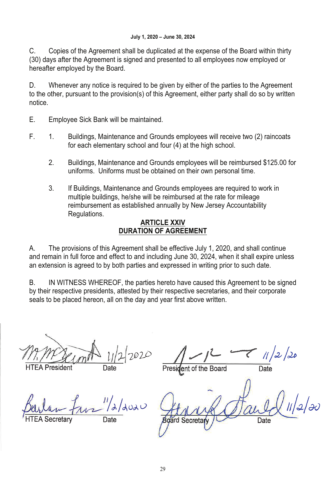C. Copies of the Agreement shall be duplicated at the expense of the Board within thirty (30) days after the Agreement is signed and presented to all employees now employed or hereafter employed by the Board.

D. Whenever any notice is required to be given by either of the parties to the Agreement to the other, pursuant to the provision(s) of this Agreement, either party shall do so by written notice.

- E. Employee Sick Bank will be maintained.
- F. 1. Buildings, Maintenance and Grounds employees will receive two (2) raincoats for each elementary school and four (4) at the high school.
	- 2. Buildings, Maintenance and Grounds employees will be reimbursed \$125.00 for uniforms. Uniforms must be obtained on their own personal time.
	- 3. If Buildings, Maintenance and Grounds employees are required to work in multiple buildings, he/she will be reimbursed at the rate for mileage reimbursement as established annually by New Jersey Accountability Regulations.

#### **ARTICLE XXIV DURATION OF AGREEMENT**

A. The provisions of this Agreement shall be effective July 1, 2020, and shall continue and remain in full force and effect to and including June 30, 2024, when it shall expire unless an extension is agreed to by both parties and expressed in writing prior to such date.

B. IN WITNESS WHEREOF, the parties hereto have caused this Agreement to be signed by their respective presidents, attested by their respective secretaries, and their corporate seals to be placed hereon, all on the day and year first above written.

 $\frac{1}{2}$ 

ent of the Board Date

 $\frac{\eta}{\lambda}$ /dod

dard Secreta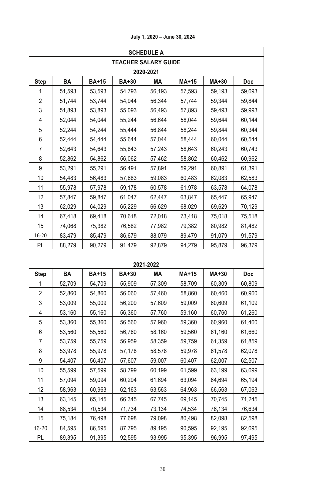|                         | <b>SCHEDULE A</b> |              |              |                             |        |        |        |
|-------------------------|-------------------|--------------|--------------|-----------------------------|--------|--------|--------|
|                         |                   |              |              | <b>TEACHER SALARY GUIDE</b> |        |        |        |
|                         | 2020-2021         |              |              |                             |        |        |        |
| <b>Step</b>             | BA                | <b>BA+15</b> | <b>BA+30</b> | MA                          | MA+15  | MA+30  | Doc    |
| 1                       | 51,593            | 53,593       | 54,793       | 56,193                      | 57,593 | 59,193 | 59,693 |
| 2                       | 51,744            | 53,744       | 54,944       | 56,344                      | 57,744 | 59,344 | 59,844 |
| 3                       | 51,893            | 53,893       | 55,093       | 56,493                      | 57,893 | 59,493 | 59,993 |
| 4                       | 52,044            | 54,044       | 55,244       | 56,644                      | 58,044 | 59,644 | 60,144 |
| 5                       | 52,244            | 54,244       | 55,444       | 56,844                      | 58,244 | 59,844 | 60,344 |
| 6                       | 52,444            | 54,444       | 55,644       | 57,044                      | 58,444 | 60,044 | 60,544 |
| 7                       | 52,643            | 54,643       | 55,843       | 57,243                      | 58,643 | 60,243 | 60,743 |
| 8                       | 52,862            | 54,862       | 56,062       | 57,462                      | 58,862 | 60,462 | 60,962 |
| 9                       | 53,291            | 55,291       | 56,491       | 57,891                      | 59,291 | 60,891 | 61,391 |
| 10                      | 54,483            | 56,483       | 57,683       | 59,083                      | 60,483 | 62,083 | 62,583 |
| 11                      | 55,978            | 57,978       | 59,178       | 60,578                      | 61,978 | 63,578 | 64,078 |
| 12                      | 57,847            | 59,847       | 61,047       | 62,447                      | 63,847 | 65,447 | 65,947 |
| 13                      | 62,029            | 64,029       | 65,229       | 66,629                      | 68,029 | 69,629 | 70,129 |
| 14                      | 67,418            | 69,418       | 70,618       | 72,018                      | 73,418 | 75,018 | 75,518 |
| 15                      | 74,068            | 75,382       | 76,582       | 77,982                      | 79,382 | 80,982 | 81,482 |
| 16-20                   | 83,479            | 85,479       | 86,679       | 88,079                      | 89,479 | 91,079 | 91,579 |
| PL                      | 88,279            | 90,279       | 91,479       | 92,879                      | 94,279 | 95,879 | 96,379 |
|                         |                   |              |              |                             |        |        |        |
|                         |                   |              |              | 2021-2022                   |        |        |        |
| <b>Step</b>             | BA                | <b>BA+15</b> | <b>BA+30</b> | MА                          | MA+15  | MA+30  | Doc    |
| 1                       | 52,709            | 54,709       | 55,909       | 57,309                      | 58,709 | 60,309 | 60,809 |
| $\overline{2}$          | 52,860            | 54,860       | 56,060       | 57,460                      | 58,860 | 60,460 | 60,960 |
| 3                       | 53,009            | 55,009       | 56,209       | 57,609                      | 59,009 | 60,609 | 61,109 |
| $\overline{\mathbf{4}}$ | 53,160            | 55,160       | 56,360       | 57,760                      | 59,160 | 60,760 | 61,260 |
| 5                       | 53,360            | 55,360       | 56,560       | 57,960                      | 59,360 | 60,960 | 61,460 |
| 6                       | 53,560            | 55,560       | 56,760       | 58,160                      | 59,560 | 61,160 | 61,660 |
| 7                       | 53,759            | 55,759       | 56,959       | 58,359                      | 59,759 | 61,359 | 61,859 |
| 8                       | 53,978            | 55,978       | 57,178       | 58,578                      | 59,978 | 61,578 | 62,078 |
| 9                       | 54,407            | 56,407       | 57,607       | 59,007                      | 60,407 | 62,007 | 62,507 |
| 10                      | 55,599            | 57,599       | 58,799       | 60,199                      | 61,599 | 63,199 | 63,699 |
| 11                      | 57,094            | 59,094       | 60,294       | 61,694                      | 63,094 | 64,694 | 65,194 |
| 12                      | 58,963            | 60,963       | 62,163       | 63,563                      | 64,963 | 66,563 | 67,063 |
| 13                      | 63,145            | 65,145       | 66,345       | 67,745                      | 69,145 | 70,745 | 71,245 |
| 14                      | 68,534            | 70,534       | 71,734       | 73,134                      | 74,534 | 76,134 | 76,634 |
| 15                      | 75,184            | 76,498       | 77,698       | 79,098                      | 80,498 | 82,098 | 82,598 |
| 16-20                   | 84,595            | 86,595       | 87,795       | 89,195                      | 90,595 | 92,195 | 92,695 |
| PL                      | 89,395            | 91,395       | 92,595       | 93,995                      | 95,395 | 96,995 | 97,495 |

**July 1, 2020 – June 30, 2024**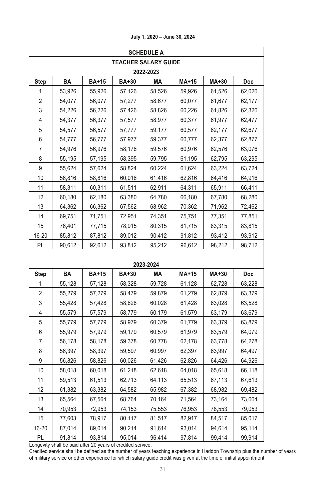|                | <b>SCHEDULE A</b> |              |              |                             |        |        |        |
|----------------|-------------------|--------------|--------------|-----------------------------|--------|--------|--------|
|                |                   |              |              | <b>TEACHER SALARY GUIDE</b> |        |        |        |
| 2022-2023      |                   |              |              |                             |        |        |        |
| <b>Step</b>    | BA                | <b>BA+15</b> | <b>BA+30</b> | <b>MA</b>                   | MA+15  | MA+30  | Doc    |
| 1              | 53,926            | 55,926       | 57,126       | 58,526                      | 59,926 | 61,526 | 62,026 |
| 2              | 54,077            | 56,077       | 57,277       | 58,677                      | 60,077 | 61,677 | 62,177 |
| 3              | 54,226            | 56,226       | 57,426       | 58,826                      | 60,226 | 61,826 | 62,326 |
| 4              | 54,377            | 56,377       | 57,577       | 58,977                      | 60,377 | 61,977 | 62,477 |
| 5              | 54,577            | 56,577       | 57,777       | 59,177                      | 60,577 | 62,177 | 62,677 |
| 6              | 54,777            | 56,777       | 57,977       | 59,377                      | 60,777 | 62,377 | 62,877 |
| 7              | 54,976            | 56,976       | 58,176       | 59,576                      | 60,976 | 62,576 | 63,076 |
| 8              | 55,195            | 57,195       | 58,395       | 59,795                      | 61,195 | 62,795 | 63,295 |
| 9              | 55,624            | 57,624       | 58,824       | 60,224                      | 61,624 | 63,224 | 63,724 |
| 10             | 56,816            | 58,816       | 60,016       | 61,416                      | 62,816 | 64,416 | 64,916 |
| 11             | 58,311            | 60,311       | 61,511       | 62,911                      | 64,311 | 65,911 | 66,411 |
| 12             | 60,180            | 62,180       | 63,380       | 64,780                      | 66,180 | 67,780 | 68,280 |
| 13             | 64,362            | 66,362       | 67,562       | 68,962                      | 70,362 | 71,962 | 72,462 |
| 14             | 69,751            | 71,751       | 72,951       | 74,351                      | 75,751 | 77,351 | 77,851 |
| 15             | 76,401            | 77,715       | 78,915       | 80,315                      | 81,715 | 83,315 | 83,815 |
| 16-20          | 85,812            | 87,812       | 89,012       | 90,412                      | 91,812 | 93,412 | 93,912 |
| PL             | 90,612            | 92,612       | 93,812       | 95,212                      | 96,612 | 98,212 | 98,712 |
|                |                   |              |              |                             |        |        |        |
|                |                   |              |              | 2023-2024                   |        |        |        |
| <b>Step</b>    | ΒA                | <b>BA+15</b> | <b>BA+30</b> | MА                          | MA+15  | MA+30  | Doc    |
| 1              | 55,128            | 57,128       | 58,328       | 59,728                      | 61,128 | 62,728 | 63,228 |
| $\overline{2}$ | 55,279            | 57,279       | 58,479       | 59,879                      | 61,279 | 62,879 | 63,379 |
| 3              | 55,428            | 57,428       | 58,628       | 60,028                      | 61,428 | 63,028 | 63,528 |
| 4              | 55,579            | 57,579       | 58,779       | 60,179                      | 61,579 | 63,179 | 63,679 |
| 5              | 55,779            | 57,779       | 58,979       | 60,379                      | 61,779 | 63,379 | 63,879 |
| 6              | 55,979            | 57,979       | 59,179       | 60,579                      | 61,979 | 63,579 | 64,079 |
| 7              | 56,178            | 58,178       | 59,378       | 60,778                      | 62,178 | 63,778 | 64,278 |
| 8              | 56,397            | 58,397       | 59,597       | 60,997                      | 62,397 | 63,997 | 64,497 |
| 9              | 56,826            | 58,826       | 60,026       | 61,426                      | 62,826 | 64,426 | 64,926 |
| 10             | 58,018            | 60,018       | 61,218       | 62,618                      | 64,018 | 65,618 | 66,118 |
| 11             | 59,513            | 61,513       | 62,713       | 64,113                      | 65,513 | 67,113 | 67,613 |
| 12             | 61,382            | 63,382       | 64,582       | 65,982                      | 67,382 | 68,982 | 69,482 |
| 13             | 65,564            | 67,564       | 68,764       | 70,164                      | 71,564 | 73,164 | 73,664 |
| 14             | 70,953            | 72,953       | 74,153       | 75,553                      | 76,953 | 78,553 | 79,053 |
| 15             | 77,603            | 78,917       | 80,117       | 81,517                      | 82,917 | 84,517 | 85,017 |
| 16-20          | 87,014            | 89,014       | 90,214       | 91,614                      | 93,014 | 94,614 | 95,114 |
| <b>PL</b>      | 91,814            | 93,814       | 95,014       | 96,414                      | 97,814 | 99,414 | 99,914 |

**July 1, 2020 – June 30, 2024**

Longevity shall be paid after 20 years of credited service.

Credited service shall be defined as the number of years teaching experience in Haddon Township plus the number of years<br>of military service or other experience for which salary guide credit was given at the time of initia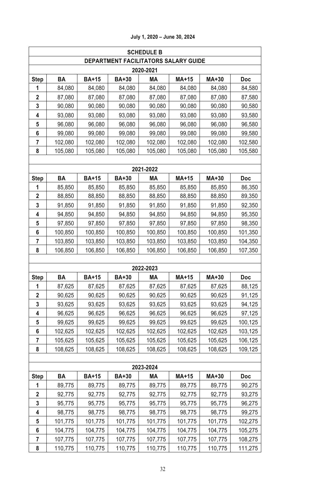|                                      | <b>SCHEDULE B</b> |              |              |           |         |         |         |
|--------------------------------------|-------------------|--------------|--------------|-----------|---------|---------|---------|
| DEPARTMENT FACILITATORS SALARY GUIDE |                   |              |              |           |         |         |         |
|                                      |                   |              |              | 2020-2021 |         |         |         |
| <b>Step</b>                          | ΒA                | <b>BA+15</b> | BA+30        | MА        | MA+15   | MA+30   | Doc     |
| 1                                    | 84,080            | 84,080       | 84,080       | 84,080    | 84,080  | 84,080  | 84,580  |
| $\mathbf 2$                          | 87,080            | 87,080       | 87,080       | 87,080    | 87,080  | 87,080  | 87,580  |
| 3                                    | 90,080            | 90,080       | 90,080       | 90,080    | 90,080  | 90,080  | 90,580  |
| 4                                    | 93,080            | 93,080       | 93,080       | 93,080    | 93,080  | 93,080  | 93,580  |
| 5                                    | 96,080            | 96,080       | 96,080       | 96,080    | 96,080  | 96,080  | 96,580  |
| 6                                    | 99,080            | 99,080       | 99,080       | 99,080    | 99,080  | 99,080  | 99,580  |
| 7                                    | 102,080           | 102,080      | 102,080      | 102,080   | 102,080 | 102,080 | 102,580 |
| 8                                    | 105,080           | 105,080      | 105,080      | 105,080   | 105,080 | 105,080 | 105,580 |
|                                      |                   |              |              | 2021-2022 |         |         |         |
| <b>Step</b>                          | ΒA                | <b>BA+15</b> | BA+30        | MА        | MA+15   | MA+30   | Doc     |
| 1                                    | 85,850            | 85,850       | 85,850       | 85,850    | 85,850  | 85,850  | 86,350  |
| $\mathbf 2$                          | 88,850            | 88,850       | 88,850       | 88,850    | 88,850  | 88,850  | 89,350  |
| 3                                    | 91,850            | 91,850       | 91,850       | 91,850    | 91,850  | 91,850  | 92,350  |
| 4                                    | 94,850            | 94,850       | 94,850       | 94,850    | 94,850  | 94,850  | 95,350  |
| 5                                    | 97,850            | 97,850       | 97,850       | 97,850    | 97,850  | 97,850  | 98,350  |
| 6                                    | 100,850           | 100,850      | 100,850      | 100,850   | 100,850 | 100,850 | 101,350 |
| 7                                    | 103,850           | 103,850      | 103,850      | 103,850   | 103,850 | 103,850 | 104,350 |
| 8                                    | 106,850           | 106,850      | 106,850      | 106,850   | 106,850 | 106,850 | 107,350 |
|                                      |                   |              |              |           |         |         |         |
|                                      |                   |              |              | 2022-2023 |         |         |         |
| Step                                 | BA                | <b>BA+15</b> | <b>BA+30</b> | МA        | MA+15   | MA+30   | Doc     |
| 1                                    | 87,625            | 87,625       | 87,625       | 87,625    | 87,625  | 87,625  | 88,125  |
| 2                                    | 90,625            | 90,625       | 90,625       | 90,625    | 90,625  | 90,625  | 91,125  |
| 3                                    | 93,625            | 93,625       | 93,625       | 93,625    | 93,625  | 93,625  | 94,125  |
| 4                                    | 96,625            | 96,625       | 96,625       | 96,625    | 96,625  | 96,625  | 97,125  |
| 5                                    | 99,625            | 99,625       | 99,625       | 99,625    | 99,625  | 99,625  | 100,125 |
| 6                                    | 102,625           | 102,625      | 102,625      | 102,625   | 102,625 | 102,625 | 103,125 |
| 7                                    | 105,625           | 105,625      | 105,625      | 105,625   | 105,625 | 105,625 | 106,125 |
| 8                                    | 108,625           | 108,625      | 108,625      | 108,625   | 108,625 | 108,625 | 109,125 |
|                                      |                   |              |              |           |         |         |         |
|                                      |                   |              |              | 2023-2024 |         |         |         |
| Step                                 | BA                | <b>BA+15</b> | <b>BA+30</b> | МA        | MA+15   | MA+30   | Doc     |
| 1                                    | 89,775            | 89,775       | 89,775       | 89,775    | 89,775  | 89,775  | 90,275  |
| 2                                    | 92,775            | 92,775       | 92,775       | 92,775    | 92,775  | 92,775  | 93,275  |
| 3                                    | 95,775            | 95,775       | 95,775       | 95,775    | 95,775  | 95,775  | 96,275  |
| 4                                    | 98,775            | 98,775       | 98,775       | 98,775    | 98,775  | 98,775  | 99,275  |
| 5                                    | 101,775           | 101,775      | 101,775      | 101,775   | 101,775 | 101,775 | 102,275 |
| 6                                    | 104,775           | 104,775      | 104,775      | 104,775   | 104,775 | 104,775 | 105,275 |
| 7                                    | 107,775           | 107,775      | 107,775      | 107,775   | 107,775 | 107,775 | 108,275 |
| 8                                    | 110,775           | 110,775      | 110,775      | 110,775   | 110,775 | 110,775 | 111,275 |

**July 1, 2020 – June 30, 2024**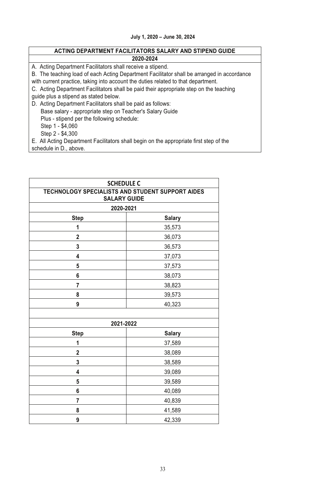## **ACTING DEPARTMENT FACILITATORS SALARY AND STIPEND GUIDE**

**2020-2024** 

A. Acting Department Facilitators shall receive a stipend.

B. The teaching load of each Acting Department Facilitator shall be arranged in accordance with current practice, taking into account the duties related to that department.

C. Acting Department Facilitators shall be paid their appropriate step on the teaching

guide plus a stipend as stated below.

D. Acting Department Facilitators shall be paid as follows: Base salary - appropriate step on Teacher's Salary Guide Plus - stipend per the following schedule: Step 1 - \$4,060 Step 2 - \$4,300 E. All Acting Department Facilitators shall begin on the appropriate first step of the

schedule in D., above.

| <b>SCHEDULE C</b>   |                                                  |  |  |  |  |
|---------------------|--------------------------------------------------|--|--|--|--|
|                     | TECHNOLOGY SPECIALISTS AND STUDENT SUPPORT AIDES |  |  |  |  |
| <b>SALARY GUIDE</b> |                                                  |  |  |  |  |
| 2020-2021           |                                                  |  |  |  |  |
| <b>Step</b>         | <b>Salary</b>                                    |  |  |  |  |
| 1                   | 35,573                                           |  |  |  |  |
| $\mathbf{2}$        | 36,073                                           |  |  |  |  |
| 3                   | 36,573                                           |  |  |  |  |
| 4                   | 37,073                                           |  |  |  |  |
| 5                   | 37,573                                           |  |  |  |  |
| 6                   | 38,073                                           |  |  |  |  |
| 7                   | 38,823                                           |  |  |  |  |
| 8                   | 39,573                                           |  |  |  |  |
| 9                   | 40,323                                           |  |  |  |  |
|                     |                                                  |  |  |  |  |
| 2021-2022           |                                                  |  |  |  |  |
| <b>Step</b>         | <b>Salary</b>                                    |  |  |  |  |
| 1                   | 37,589                                           |  |  |  |  |
| $\mathbf{2}$        | 38,089                                           |  |  |  |  |
| 3                   | 38,589                                           |  |  |  |  |
| 4                   | 39,089                                           |  |  |  |  |
| 5                   | 39,589                                           |  |  |  |  |
| 6                   | 40,089                                           |  |  |  |  |
| 7                   | 40,839                                           |  |  |  |  |
| 8                   | 41,589                                           |  |  |  |  |
| 9                   | 42,339                                           |  |  |  |  |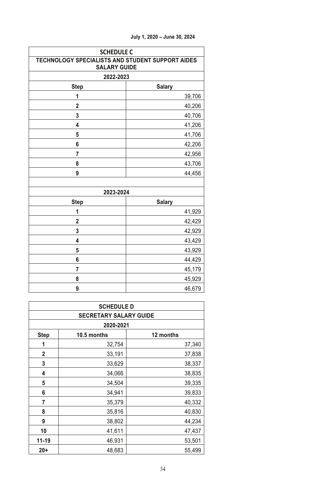| <b>SCHEDULE C</b>                                                       |               |  |  |  |  |  |
|-------------------------------------------------------------------------|---------------|--|--|--|--|--|
| TECHNOLOGY SPECIALISTS AND STUDENT SUPPORT AIDES<br><b>SALARY GUIDE</b> |               |  |  |  |  |  |
| 2022-2023                                                               |               |  |  |  |  |  |
| <b>Step</b>                                                             | <b>Salary</b> |  |  |  |  |  |
| 1                                                                       | 39,706        |  |  |  |  |  |
| $\mathbf{2}$                                                            | 40,206        |  |  |  |  |  |
| 3                                                                       | 40,706        |  |  |  |  |  |
| 4                                                                       | 41,206        |  |  |  |  |  |
| 5                                                                       | 41,706        |  |  |  |  |  |
| 6                                                                       | 42,206        |  |  |  |  |  |
| 7                                                                       | 42,956        |  |  |  |  |  |
| 8                                                                       | 43,706        |  |  |  |  |  |
| 9                                                                       | 44,456        |  |  |  |  |  |
|                                                                         |               |  |  |  |  |  |
| 2023-2024                                                               |               |  |  |  |  |  |
| <b>Step</b>                                                             | <b>Salary</b> |  |  |  |  |  |
| 1                                                                       | 41,929        |  |  |  |  |  |
| $\overline{2}$                                                          | 42,429        |  |  |  |  |  |
| 3                                                                       | 42,929        |  |  |  |  |  |
| 4                                                                       | 43,429        |  |  |  |  |  |
| 5                                                                       | 43,929        |  |  |  |  |  |
| 6                                                                       | 44,429        |  |  |  |  |  |
| 7                                                                       | 45,179        |  |  |  |  |  |
| 8                                                                       | 45,929        |  |  |  |  |  |
| 9                                                                       | 46,679        |  |  |  |  |  |

|             | <b>SCHEDULE D</b>             |           |  |  |  |  |
|-------------|-------------------------------|-----------|--|--|--|--|
|             | <b>SECRETARY SALARY GUIDE</b> |           |  |  |  |  |
|             | 2020-2021                     |           |  |  |  |  |
| <b>Step</b> | 10.5 months                   | 12 months |  |  |  |  |
| 1           | 32,754                        | 37,340    |  |  |  |  |
| 2           | 33,191                        | 37,838    |  |  |  |  |
| 3           | 33,629                        | 38,337    |  |  |  |  |
| 4           | 34,066                        | 38,835    |  |  |  |  |
| 5           | 34,504                        | 39,335    |  |  |  |  |
| 6           | 34,941                        | 39,833    |  |  |  |  |
| 7           | 35,379                        | 40,332    |  |  |  |  |
| 8           | 35,816                        | 40,830    |  |  |  |  |
| 9           | 38,802                        | 44,234    |  |  |  |  |
| 10          | 41,611                        | 47,437    |  |  |  |  |
| 11-19       | 46,931                        | 53,501    |  |  |  |  |
| $20+$       | 48,683                        | 55,499    |  |  |  |  |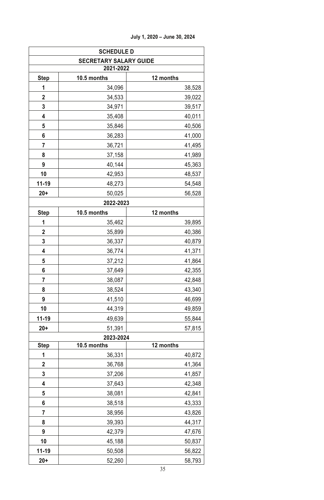|                | <b>SCHEDULE D</b>             |           |
|----------------|-------------------------------|-----------|
|                | <b>SECRETARY SALARY GUIDE</b> |           |
|                | 2021-2022                     |           |
| Step           | 10.5 months                   | 12 months |
| 1              | 34,096                        | 38,528    |
| $\overline{2}$ | 34,533                        | 39,022    |
| 3              | 34,971                        | 39,517    |
| 4              | 35,408                        | 40,011    |
| 5              | 35,846                        | 40,506    |
| 6              | 36,283                        | 41,000    |
| 7              | 36,721                        | 41,495    |
| 8              | 37,158                        | 41,989    |
| 9              | 40,144                        | 45,363    |
| 10             | 42,953                        | 48,537    |
| 11-19          | 48,273                        | 54,548    |
| $20+$          | 50,025                        | 56,528    |
|                | 2022-2023                     |           |
| Step           | 10.5 months                   | 12 months |
| 1              | 35,462                        | 39,895    |
| 2              | 35,899                        | 40,386    |
| 3              | 36,337                        | 40,879    |
| 4              | 36,774                        | 41,371    |
| 5              | 37,212                        | 41,864    |
| 6              | 37,649                        | 42,355    |
| 7              | 38,087                        | 42,848    |
| 8              | 38,524                        | 43,340    |
| 9              | 41,510                        | 46,699    |
| 10             | 44,319                        | 49,859    |
| 11-19          | 49,639                        | 55,844    |
| $20+$          | 51,391                        | 57,815    |
|                | 2023-2024                     |           |
| Step           | 10.5 months                   | 12 months |
| 1              | 36,331                        | 40,872    |
| $\overline{c}$ | 36,768                        | 41,364    |
| 3              | 37,206                        | 41,857    |
| 4              | 37,643                        | 42,348    |
| 5              | 38,081                        | 42,841    |
| 6              | 38,518                        | 43,333    |
| 7              | 38,956                        | 43,826    |
| 8              | 39,393                        | 44,317    |
| 9              | 42,379                        | 47,676    |
| 10             | 45,188                        | 50,837    |
| 11-19          | 50,508                        | 56,822    |
| $20+$          | 52,260                        | 58,793    |

**July 1, 2020 – June 30, 2024**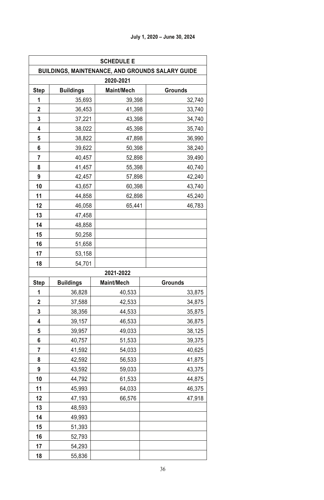|                                                  | <b>SCHEDULE E</b> |            |         |  |  |
|--------------------------------------------------|-------------------|------------|---------|--|--|
| BUILDINGS, MAINTENANCE, AND GROUNDS SALARY GUIDE |                   |            |         |  |  |
|                                                  |                   | 2020-2021  |         |  |  |
| Step                                             | <b>Buildings</b>  | Maint/Mech | Grounds |  |  |
| 1                                                | 35,693            | 39,398     | 32,740  |  |  |
| $\overline{2}$                                   | 36,453            | 41,398     | 33,740  |  |  |
| 3                                                | 37,221            | 43,398     | 34,740  |  |  |
| 4                                                | 38,022            | 45,398     | 35,740  |  |  |
| 5                                                | 38,822            | 47,898     | 36,990  |  |  |
| 6                                                | 39,622            | 50,398     | 38,240  |  |  |
| 7                                                | 40,457            | 52,898     | 39,490  |  |  |
| 8                                                | 41,457            | 55,398     | 40,740  |  |  |
| 9                                                | 42,457            | 57,898     | 42,240  |  |  |
| 10                                               | 43,657            | 60,398     | 43,740  |  |  |
| 11                                               | 44,858            | 62,898     | 45,240  |  |  |
| 12                                               | 46,058            | 65,441     | 46,783  |  |  |
| 13                                               | 47,458            |            |         |  |  |
| 14                                               | 48,858            |            |         |  |  |
| 15                                               | 50,258            |            |         |  |  |
| 16                                               | 51,658            |            |         |  |  |
| 17                                               | 53,158            |            |         |  |  |
| 18                                               | 54,701            |            |         |  |  |
|                                                  |                   | 2021-2022  |         |  |  |
| Step                                             | <b>Buildings</b>  | Maint/Mech | Grounds |  |  |
| 1                                                | 36,828            | 40,533     | 33,875  |  |  |
| $\mathbf 2$                                      | 37,588            | 42,533     | 34,875  |  |  |
| 3                                                | 38,356            | 44,533     | 35,875  |  |  |
| 4                                                | 39,157            | 46,533     | 36,875  |  |  |
| 5                                                | 39,957            | 49,033     | 38,125  |  |  |
| 6                                                | 40,757            | 51,533     | 39,375  |  |  |
| 7                                                | 41,592            | 54,033     | 40,625  |  |  |
| 8                                                | 42,592            | 56,533     | 41,875  |  |  |
| 9                                                | 43,592            | 59,033     | 43,375  |  |  |
| 10                                               | 44,792            | 61,533     | 44,875  |  |  |
| 11                                               | 45,993            | 64,033     | 46,375  |  |  |
| 12                                               | 47,193            | 66,576     | 47,918  |  |  |
| 13                                               | 48,593            |            |         |  |  |
| 14                                               | 49,993            |            |         |  |  |
| 15                                               | 51,393            |            |         |  |  |
| 16                                               | 52,793            |            |         |  |  |
| 17                                               | 54,293            |            |         |  |  |
| 18                                               | 55,836            |            |         |  |  |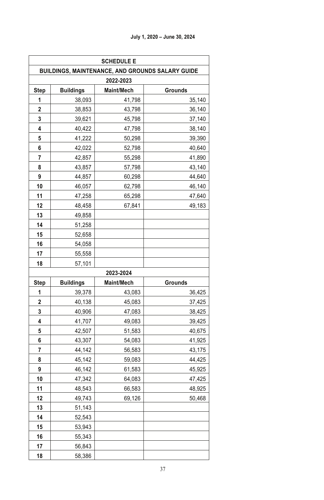|                | <b>SCHEDULE E</b>                                |            |         |  |  |  |
|----------------|--------------------------------------------------|------------|---------|--|--|--|
|                | BUILDINGS, MAINTENANCE, AND GROUNDS SALARY GUIDE |            |         |  |  |  |
|                |                                                  | 2022-2023  |         |  |  |  |
| <b>Step</b>    | <b>Buildings</b>                                 | Maint/Mech | Grounds |  |  |  |
| 1              | 38,093                                           | 41,798     | 35,140  |  |  |  |
| $\overline{2}$ | 38,853                                           | 43,798     | 36,140  |  |  |  |
| 3              | 39,621                                           | 45,798     | 37,140  |  |  |  |
| 4              | 40,422                                           | 47,798     | 38,140  |  |  |  |
| 5              | 41,222                                           | 50,298     | 39,390  |  |  |  |
| 6              | 42,022                                           | 52,798     | 40,640  |  |  |  |
| 7              | 42,857                                           | 55,298     | 41,890  |  |  |  |
| 8              | 43,857                                           | 57,798     | 43,140  |  |  |  |
| 9              | 44,857                                           | 60,298     | 44,640  |  |  |  |
| 10             | 46,057                                           | 62,798     | 46,140  |  |  |  |
| 11             | 47,258                                           | 65,298     | 47,640  |  |  |  |
| 12             | 48,458                                           | 67,841     | 49,183  |  |  |  |
| 13             | 49,858                                           |            |         |  |  |  |
| 14             | 51,258                                           |            |         |  |  |  |
| 15             | 52,658                                           |            |         |  |  |  |
| 16             | 54,058                                           |            |         |  |  |  |
| 17             | 55,558                                           |            |         |  |  |  |
| 18             | 57,101                                           |            |         |  |  |  |
|                |                                                  | 2023-2024  |         |  |  |  |
| Step           | <b>Buildings</b>                                 | Maint/Mech | Grounds |  |  |  |
| 1              | 39,378                                           | 43,083     | 36,425  |  |  |  |
| $\mathbf 2$    | 40,138                                           | 45,083     | 37,425  |  |  |  |
| 3              | 40,906                                           | 47,083     | 38,425  |  |  |  |
| 4              | 41,707                                           | 49,083     | 39,425  |  |  |  |
| 5              | 42,507                                           | 51,583     | 40,675  |  |  |  |
| 6              | 43,307                                           | 54,083     | 41,925  |  |  |  |
| 7              | 44,142                                           | 56,583     | 43,175  |  |  |  |
| 8              | 45,142                                           | 59,083     | 44,425  |  |  |  |
| 9              | 46,142                                           | 61,583     | 45,925  |  |  |  |
| 10             | 47,342                                           | 64,083     | 47,425  |  |  |  |
| 11             | 48,543                                           | 66,583     | 48,925  |  |  |  |
| 12             | 49,743                                           | 69,126     | 50,468  |  |  |  |
| 13             | 51,143                                           |            |         |  |  |  |
| 14             | 52,543                                           |            |         |  |  |  |
| 15             | 53,943                                           |            |         |  |  |  |
| 16             | 55,343                                           |            |         |  |  |  |
| 17             | 56,843                                           |            |         |  |  |  |
| 18             | 58,386                                           |            |         |  |  |  |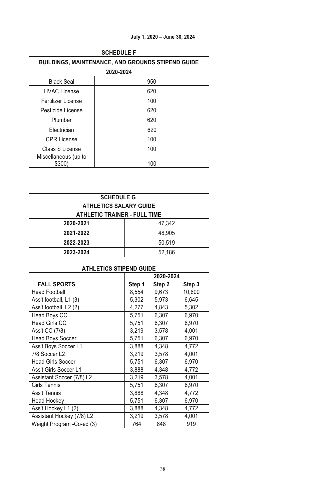| <b>SCHEDULE F</b>                                        |     |  |
|----------------------------------------------------------|-----|--|
| <b>BUILDINGS, MAINTENANCE, AND GROUNDS STIPEND GUIDE</b> |     |  |
| 2020-2024                                                |     |  |
| <b>Black Seal</b>                                        | 950 |  |
| <b>HVAC License</b>                                      | 620 |  |
| Fertilizer License                                       | 100 |  |
| Pesticide License                                        | 620 |  |
| Plumber                                                  | 620 |  |
| Electrician                                              | 620 |  |
| <b>CPR License</b>                                       | 100 |  |
| Class S License                                          | 100 |  |
| Miscellaneous (up to<br>\$300)                           | 100 |  |

| <b>SCHEDULE G</b>                   |        |           |        |
|-------------------------------------|--------|-----------|--------|
| <b>ATHLETICS SALARY GUIDE</b>       |        |           |        |
| <b>ATHLETIC TRAINER - FULL TIME</b> |        |           |        |
| 2020-2021                           |        | 47,342    |        |
| 2021-2022                           |        | 48,905    |        |
| 2022-2023                           |        | 50,519    |        |
| 2023-2024                           |        |           |        |
|                                     |        | 52,186    |        |
| <b>ATHLETICS STIPEND GUIDE</b>      |        |           |        |
|                                     |        | 2020-2024 |        |
| <b>FALL SPORTS</b>                  | Step 1 | Step 2    | Step 3 |
| <b>Head Football</b>                | 8,554  | 9,673     | 10,600 |
| Ass't football, L1 (3)              | 5,302  | 5,973     | 6,645  |
| Ass't football, L2 (2)              | 4,277  | 4,843     | 5,302  |
| Head Boys CC                        | 5,751  | 6,307     | 6,970  |
| Head Girls CC                       | 5,751  | 6,307     | 6,970  |
| Ass't CC (7/8)                      | 3,219  | 3,578     | 4,001  |
| <b>Head Boys Soccer</b>             | 5,751  | 6,307     | 6,970  |
| Ass't Boys Soccer L1                | 3,888  | 4,348     | 4,772  |
| 7/8 Soccer L2                       | 3,219  | 3,578     | 4,001  |
| <b>Head Girls Soccer</b>            | 5,751  | 6,307     | 6,970  |
| Ass't Girls Soccer L1               | 3,888  | 4,348     | 4,772  |
| Assistant Soccer (7/8) L2           | 3,219  | 3,578     | 4,001  |
| <b>Girls Tennis</b>                 | 5,751  | 6,307     | 6,970  |
| <b>Ass't Tennis</b>                 | 3,888  | 4,348     | 4,772  |
| <b>Head Hockey</b>                  | 5,751  | 6,307     | 6,970  |
| Ass't Hockey L1 (2)                 | 3,888  | 4,348     | 4,772  |
| Assistant Hockey (7/8) L2           | 3,219  | 3,578     | 4,001  |
| Weight Program - Co-ed (3)          | 764    | 848       | 919    |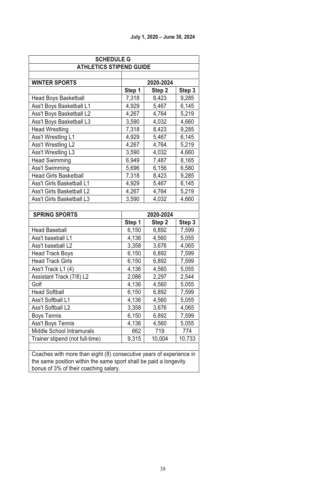| <b>SCHEDULE G</b>                                                   |        |           |        |
|---------------------------------------------------------------------|--------|-----------|--------|
| <b>ATHLETICS STIPEND GUIDE</b>                                      |        |           |        |
|                                                                     |        |           |        |
| <b>WINTER SPORTS</b>                                                |        | 2020-2024 |        |
|                                                                     | Step 1 | Step 2    | Step 3 |
| Head Boys Basketball                                                | 7,318  | 8,423     | 9,285  |
| Ass't Boys Basketball L1                                            | 4,929  | 5,467     | 6,145  |
| Ass't Boys Basketball L2                                            | 4,267  | 4,764     | 5,219  |
| Ass't Boys Basketball L3                                            | 3,590  | 4,032     | 4,660  |
| <b>Head Wrestling</b>                                               | 7,318  | 8,423     | 9,285  |
| Ass't Wrestling L1                                                  | 4,929  | 5,467     | 6,145  |
| Ass't Wrestling L2                                                  | 4,267  | 4,764     | 5,219  |
| Ass't Wrestling L3                                                  | 3,590  | 4,032     | 4,660  |
| <b>Head Swimming</b>                                                | 6,949  | 7,487     | 8,165  |
| Ass't Swimming                                                      | 5,696  | 6,156     | 6,580  |
| <b>Head Girls Basketball</b>                                        | 7,318  | 8,423     | 9,285  |
| Ass't Girls Basketball L1                                           | 4,929  | 5,467     | 6,145  |
| Ass't Girls Basketball L2                                           | 4,267  | 4,764     | 5,219  |
| Ass't Girls Basketball L3                                           | 3,590  | 4,032     | 4,660  |
|                                                                     |        |           |        |
| <b>SPRING SPORTS</b>                                                |        | 2020-2024 |        |
|                                                                     | Step 1 | Step 2    | Step 3 |
| <b>Head Baseball</b>                                                | 6,150  | 6.892     | 7,599  |
| Ass't baseball L1                                                   | 4,136  | 4,560     | 5,055  |
| Ass't baseball L2                                                   | 3,358  | 3,676     | 4,065  |
| <b>Head Track Boys</b>                                              | 6.150  | 6.892     | 7,599  |
| <b>Head Track Girls</b>                                             | 6,150  | 6,892     | 7,599  |
| Ass't Track L1 (4)                                                  | 4,136  | 4,560     | 5,055  |
| Assistant Track (7/8) L2                                            | 2,086  | 2,297     | 2,544  |
| Golf                                                                | 4,136  | 4,560     | 5,055  |
| <b>Head Softball</b>                                                | 6,150  | 6,892     | 7,599  |
| Ass't Softball L1                                                   | 4,136  | 4,560     | 5,055  |
| Ass't Softball L2                                                   | 3,358  | 3,676     | 4,065  |
| <b>Boys Tennis</b>                                                  | 6,150  | 6,892     | 7,599  |
| <b>Ass't Boys Tennis</b>                                            | 4,136  | 4,560     | 5,055  |
| Middle School Intramurals                                           | 662    | 719       | 774    |
| Trainer stipend (not full-time)                                     | 9,315  | 10,004    | 10,733 |
|                                                                     |        |           |        |
| Coaches with more than eight (8) consecutive years of experience in |        |           |        |
| the same position within the same sport shall be paid a longevity   |        |           |        |
| bonus of 3% of their coaching salary.                               |        |           |        |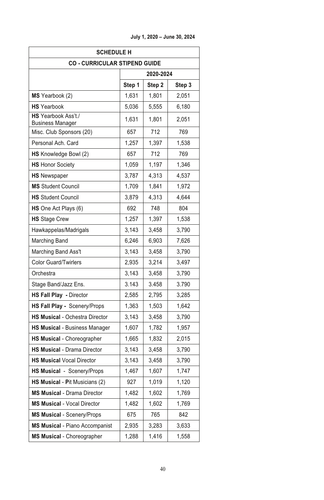| <b>SCHEDULE H</b>                              |        |           |        |
|------------------------------------------------|--------|-----------|--------|
| <b>CO - CURRICULAR STIPEND GUIDE</b>           |        |           |        |
|                                                |        | 2020-2024 |        |
|                                                | Step 1 | Step 2    | Step 3 |
| MS Yearbook (2)                                | 1,631  | 1,801     | 2,051  |
| <b>HS</b> Yearbook                             | 5,036  | 5,555     | 6,180  |
| HS Yearbook Ass't./<br><b>Business Manager</b> | 1,631  | 1,801     | 2,051  |
| Misc. Club Sponsors (20)                       | 657    | 712       | 769    |
| Personal Ach. Card                             | 1,257  | 1,397     | 1,538  |
| HS Knowledge Bowl (2)                          | 657    | 712       | 769    |
| <b>HS</b> Honor Society                        | 1,059  | 1,197     | 1,346  |
| <b>HS</b> Newspaper                            | 3,787  | 4,313     | 4,537  |
| <b>MS</b> Student Council                      | 1,709  | 1,841     | 1,972  |
| <b>HS</b> Student Council                      | 3,879  | 4,313     | 4,644  |
| HS One Act Plays (6)                           | 692    | 748       | 804    |
| <b>HS</b> Stage Crew                           | 1,257  | 1,397     | 1,538  |
| Hawkappelas/Madrigals                          | 3,143  | 3,458     | 3,790  |
| Marching Band                                  | 6,246  | 6,903     | 7,626  |
| Marching Band Ass't                            | 3,143  | 3,458     | 3,790  |
| <b>Color Guard/Twirlers</b>                    | 2,935  | 3,214     | 3,497  |
| Orchestra                                      | 3,143  | 3,458     | 3,790  |
| Stage Band/Jazz Ens.                           | 3.143  | 3.458     | 3.790  |
| <b>HS Fall Play - Director</b>                 | 2,585  | 2,795     | 3,285  |
| HS Fall Play - Scenery/Props                   | 1,363  | 1,503     | 1,642  |
| <b>HS Musical - Ochestra Director</b>          | 3,143  | 3,458     | 3,790  |
| <b>HS Musical - Business Manager</b>           | 1,607  | 1,782     | 1,957  |
| <b>HS Musical - Choreographer</b>              | 1,665  | 1,832     | 2,015  |
| <b>HS Musical - Drama Director</b>             | 3,143  | 3,458     | 3,790  |
| <b>HS Musical Vocal Director</b>               | 3,143  | 3,458     | 3,790  |
| HS Musical - Scenery/Props                     | 1,467  | 1,607     | 1,747  |
| HS Musical - Pit Musicians (2)                 | 927    | 1,019     | 1,120  |
| <b>MS Musical - Drama Director</b>             | 1,482  | 1,602     | 1,769  |
| <b>MS Musical - Vocal Director</b>             | 1,482  | 1,602     | 1,769  |
| <b>MS Musical - Scenery/Props</b>              | 675    | 765       | 842    |
| <b>MS Musical - Piano Accompanist</b>          | 2,935  | 3,283     | 3,633  |
| MS Musical - Choreographer                     | 1,288  | 1,416     | 1,558  |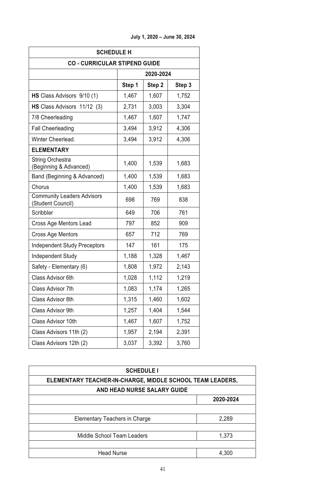| <b>SCHEDULE H</b>                                      |           |        |        |
|--------------------------------------------------------|-----------|--------|--------|
| <b>CO - CURRICULAR STIPEND GUIDE</b>                   |           |        |        |
|                                                        | 2020-2024 |        |        |
|                                                        | Step 1    | Step 2 | Step 3 |
| HS Class Advisors 9/10 (1)                             | 1,467     | 1.607  | 1.752  |
| HS Class Advisors 11/12 (3)                            | 2,731     | 3,003  | 3,304  |
| 7/8 Cheerleading                                       | 1,467     | 1,607  | 1,747  |
| <b>Fall Cheerleading</b>                               | 3,494     | 3,912  | 4,306  |
| Winter Cheerlead.                                      | 3,494     | 3,912  | 4,306  |
| <b>ELEMENTARY</b>                                      |           |        |        |
| String Orchestra<br>(Beginning & Advanced)             | 1,400     | 1,539  | 1,683  |
| Band (Beginning & Advanced)                            | 1,400     | 1,539  | 1,683  |
| Chorus                                                 | 1,400     | 1,539  | 1,683  |
| <b>Community Leaders Advisors</b><br>(Student Council) | 698       | 769    | 838    |
| Scribbler                                              | 649       | 706    | 761    |
| Cross Age Mentors Lead                                 | 797       | 852    | 909    |
| Cross Age Mentors                                      | 657       | 712    | 769    |
| <b>Independent Study Preceptors</b>                    | 147       | 161    | 175    |
| Independent Study                                      | 1,188     | 1,328  | 1,467  |
| Safety - Elementary (6)                                | 1,808     | 1,972  | 2,143  |
| Class Advisor 6th                                      | 1,028     | 1,112  | 1,219  |
| Class Advisor 7th                                      | 1,083     | 1,174  | 1,265  |
| Class Advisor 8th                                      | 1,315     | 1,460  | 1,602  |
| Class Advisor 9th                                      | 1,257     | 1,404  | 1,544  |
| Class Advisor 10th                                     | 1,467     | 1,607  | 1,752  |
| Class Advisors 11th (2)                                | 1,957     | 2,194  | 2,391  |
| Class Advisors 12th (2)                                | 3,037     | 3,392  | 3,760  |

| <b>SCHEDULE I</b>                                         |           |  |
|-----------------------------------------------------------|-----------|--|
| ELEMENTARY TEACHER-IN-CHARGE, MIDDLE SCHOOL TEAM LEADERS, |           |  |
| AND HEAD NURSE SALARY GUIDE                               |           |  |
|                                                           | 2020-2024 |  |
|                                                           |           |  |
| Elementary Teachers in Charge                             | 2,289     |  |
|                                                           |           |  |
| Middle School Team Leaders                                | 1,373     |  |
|                                                           |           |  |
| <b>Head Nurse</b>                                         | 4.300     |  |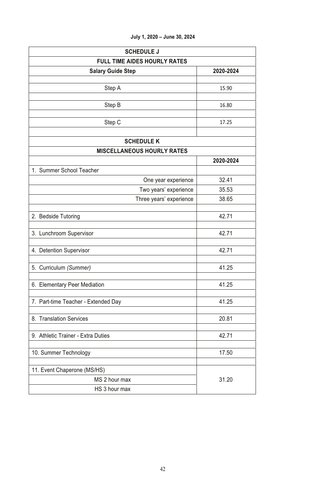| July 1, 2020 - June 30, 2024 |
|------------------------------|
|------------------------------|

| <b>SCHEDULE J</b>                   |           |  |
|-------------------------------------|-----------|--|
| <b>FULL TIME AIDES HOURLY RATES</b> |           |  |
| <b>Salary Guide Step</b>            | 2020-2024 |  |
|                                     |           |  |
| Step A                              | 15.90     |  |
|                                     |           |  |
| Step B                              | 16.80     |  |
|                                     |           |  |
| Step C                              | 17.25     |  |
| <b>SCHEDULE K</b>                   |           |  |
| <b>MISCELLANEOUS HOURLY RATES</b>   |           |  |
|                                     | 2020-2024 |  |
| 1. Summer School Teacher            |           |  |
| One year experience                 | 32.41     |  |
| Two years' experience               | 35.53     |  |
| Three years' experience             | 38.65     |  |
|                                     |           |  |
| 2. Bedside Tutoring                 | 42.71     |  |
|                                     |           |  |
| 3. Lunchroom Supervisor             | 42.71     |  |
|                                     |           |  |
| 4. Detention Supervisor             | 42.71     |  |
| 5. Curriculum (Summer)              | 41.25     |  |
|                                     |           |  |
| 6. Elementary Peer Mediation        | 41.25     |  |
|                                     |           |  |
| 7. Part-time Teacher - Extended Day | 41.25     |  |
|                                     |           |  |
| 8. Translation Services             | 20.81     |  |
|                                     |           |  |
| 9. Athletic Trainer - Extra Duties  | 42.71     |  |
| 10. Summer Technology               | 17.50     |  |
|                                     |           |  |
| 11. Event Chaperone (MS/HS)         |           |  |
| MS 2 hour max                       | 31.20     |  |
| HS 3 hour max                       |           |  |
|                                     |           |  |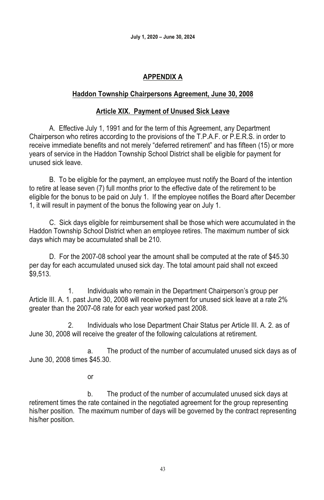## **APPENDIX A**

#### **Haddon Township Chairpersons Agreement, June 30, 2008**

#### **Article XIX. Payment of Unused Sick Leave**

 A. Effective July 1, 1991 and for the term of this Agreement, any Department Chairperson who retires according to the provisions of the T.P.A.F. or P.E.R.S. in order to receive immediate benefits and not merely "deferred retirement" and has fifteen (15) or more years of service in the Haddon Township School District shall be eligible for payment for unused sick leave.

 B. To be eligible for the payment, an employee must notify the Board of the intention to retire at lease seven (7) full months prior to the effective date of the retirement to be eligible for the bonus to be paid on July 1. If the employee notifies the Board after December 1, it will result in payment of the bonus the following year on July 1.

 C. Sick days eligible for reimbursement shall be those which were accumulated in the Haddon Township School District when an employee retires. The maximum number of sick days which may be accumulated shall be 210.

 D. For the 2007-08 school year the amount shall be computed at the rate of \$45.30 per day for each accumulated unused sick day. The total amount paid shall not exceed \$9,513.

 1. Individuals who remain in the Department Chairperson's group per Article III. A. 1. past June 30, 2008 will receive payment for unused sick leave at a rate 2% greater than the 2007-08 rate for each year worked past 2008.

 2. Individuals who lose Department Chair Status per Article III. A. 2. as of June 30, 2008 will receive the greater of the following calculations at retirement.

 a. The product of the number of accumulated unused sick days as of June 30, 2008 times \$45.30.

**or** *or* 

 b. The product of the number of accumulated unused sick days at retirement times the rate contained in the negotiated agreement for the group representing his/her position. The maximum number of days will be governed by the contract representing his/her position.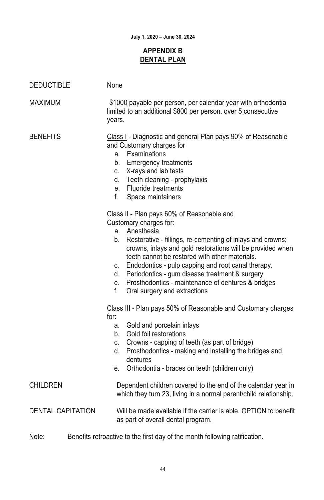# **APPENDIX B DENTAL PLAN**

| <b>DEDUCTIBLE</b>        | None   |                                                                                                                                                                                                                                                                                                                                                                                                                                                                                                 |
|--------------------------|--------|-------------------------------------------------------------------------------------------------------------------------------------------------------------------------------------------------------------------------------------------------------------------------------------------------------------------------------------------------------------------------------------------------------------------------------------------------------------------------------------------------|
| MAXIMUM                  | years. | \$1000 payable per person, per calendar year with orthodontia<br>limited to an additional \$800 per person, over 5 consecutive                                                                                                                                                                                                                                                                                                                                                                  |
| <b>BENEFITS</b>          |        | Class I - Diagnostic and general Plan pays 90% of Reasonable<br>and Customary charges for<br>Examinations<br>a.<br>b.<br><b>Emergency treatments</b><br>X-rays and lab tests<br>C.<br>Teeth cleaning - prophylaxis<br>d.<br><b>Fluoride treatments</b><br>$e_{1}$<br>f.<br>Space maintainers                                                                                                                                                                                                    |
|                          |        | Class II - Plan pays 60% of Reasonable and<br>Customary charges for:<br>Anesthesia<br>a.<br>Restorative - fillings, re-cementing of inlays and crowns;<br>b.<br>crowns, inlays and gold restorations will be provided when<br>teeth cannot be restored with other materials.<br>Endodontics - pulp capping and root canal therapy.<br>C.<br>d. Periodontics - gum disease treatment & surgery<br>Prosthodontics - maintenance of dentures & bridges<br>e.<br>f.<br>Oral surgery and extractions |
|                          | for:   | Class III - Plan pays 50% of Reasonable and Customary charges<br>Gold and porcelain inlays<br>а.<br>Gold foil restorations<br>b.<br>Crowns - capping of teeth (as part of bridge)<br>C.<br>Prosthodontics - making and installing the bridges and<br>d.<br>dentures<br>Orthodontia - braces on teeth (children only)<br>е.                                                                                                                                                                      |
| <b>CHILDREN</b>          |        | Dependent children covered to the end of the calendar year in<br>which they turn 23, living in a normal parent/child relationship.                                                                                                                                                                                                                                                                                                                                                              |
| <b>DENTAL CAPITATION</b> |        | Will be made available if the carrier is able. OPTION to benefit<br>as part of overall dental program.                                                                                                                                                                                                                                                                                                                                                                                          |
| Note:                    |        | Benefits retroactive to the first day of the month following ratification.                                                                                                                                                                                                                                                                                                                                                                                                                      |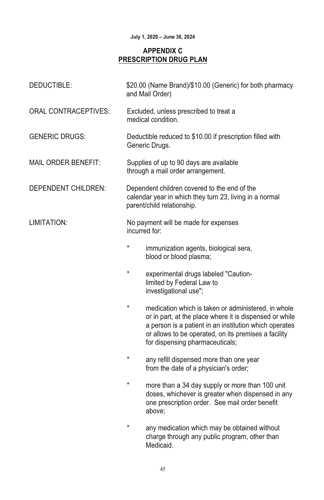# **APPENDIX C PRESCRIPTION DRUG PLAN**

| DEDUCTIBLE:                 | \$20.00 (Name Brand)/\$10.00 (Generic) for both pharmacy<br>and Mail Order)                                                                                                                                                                                                    |
|-----------------------------|--------------------------------------------------------------------------------------------------------------------------------------------------------------------------------------------------------------------------------------------------------------------------------|
| <b>ORAL CONTRACEPTIVES:</b> | Excluded, unless prescribed to treat a<br>medical condition.                                                                                                                                                                                                                   |
| <b>GENERIC DRUGS:</b>       | Deductible reduced to \$10.00 if prescription filled with<br>Generic Drugs.                                                                                                                                                                                                    |
| <b>MAIL ORDER BENEFIT:</b>  | Supplies of up to 90 days are available<br>through a mail order arrangement.                                                                                                                                                                                                   |
| DEPENDENT CHILDREN:         | Dependent children covered to the end of the<br>calendar year in which they turn 23, living in a normal<br>parent/child relationship.                                                                                                                                          |
| LIMITATION:                 | No payment will be made for expenses<br>incurred for:                                                                                                                                                                                                                          |
|                             | $\star$<br>immunization agents, biological sera,<br>blood or blood plasma;                                                                                                                                                                                                     |
|                             | $\star$<br>experimental drugs labeled "Caution-<br>limited by Federal Law to<br>investigational use";                                                                                                                                                                          |
|                             | $\star$<br>medication which is taken or administered, in whole<br>or in part, at the place where it is dispensed or while<br>a person is a patient in an institution which operates<br>or allows to be operated, on its premises a facility<br>for dispensing pharmaceuticals; |
|                             | $\star$<br>any refill dispensed more than one year<br>from the date of a physician's order;                                                                                                                                                                                    |
|                             | $\star$<br>more than a 34 day supply or more than 100 unit<br>doses, whichever is greater when dispensed in any<br>one prescription order. See mail order benefit<br>above;                                                                                                    |
|                             | $\star$<br>any medication which may be obtained without<br>charge through any public program, other than                                                                                                                                                                       |

Medicaid.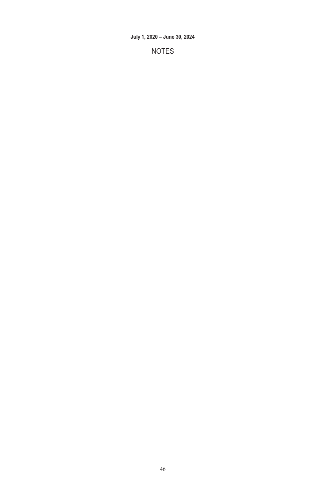NOTES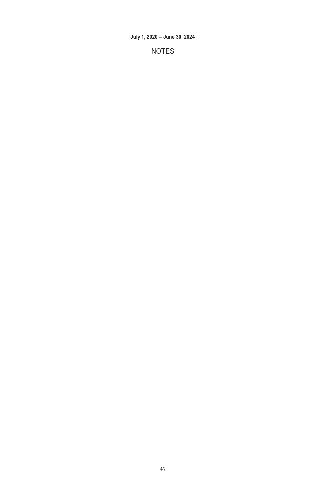NOTES